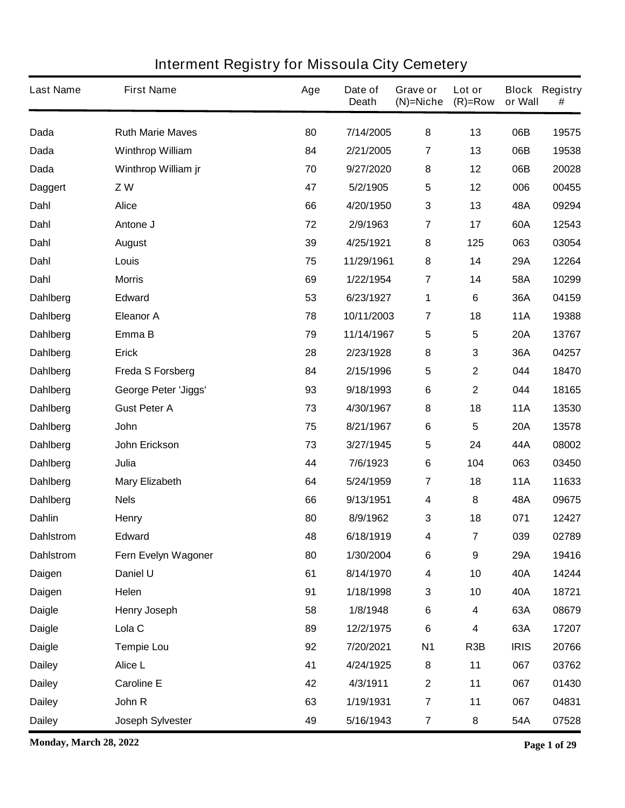| <b>Last Name</b> | <b>First Name</b>           | Age | Date of<br><b>Death</b> | Grave or<br>$(N)$ =Niche | Lot or<br>$(R)$ =Row    | or Wall     | <b>Block Registry</b><br># |
|------------------|-----------------------------|-----|-------------------------|--------------------------|-------------------------|-------------|----------------------------|
| Dada             | <b>Ruth Marie Maves</b>     | 80  | 7/14/2005               | 8                        | 13                      | 06B         | 19575                      |
| <b>Dada</b>      | <b>Winthrop William</b>     | 84  | 2/21/2005               | 7                        | 13                      | 06B         | 19538                      |
| Dada             | Winthrop William jr         | 70  | 9/27/2020               | 8                        | 12                      | 06B         | 20028                      |
| <b>Daggert</b>   | ZW                          | 47  | 5/2/1905                | $\sqrt{5}$               | 12                      | 006         | 00455                      |
| Dahl             | <b>Alice</b>                | 66  | 4/20/1950               | $\mathbf{3}$             | 13                      | 48A         | 09294                      |
| Dahl             | Antone J                    | 72  | 2/9/1963                | $\overline{\mathbf{r}}$  | 17                      | 60A         | 12543                      |
| Dahl             | <b>August</b>               | 39  | 4/25/1921               | 8                        | 125                     | 063         | 03054                      |
| Dahl             | Louis                       | 75  | 11/29/1961              | 8                        | 14                      | 29A         | 12264                      |
| Dahl             | <b>Morris</b>               | 69  | 1/22/1954               | $\overline{\mathbf{r}}$  | 14                      | 58A         | 10299                      |
| Dahlberg         | <b>Edward</b>               | 53  | 6/23/1927               | 1                        | 6                       | 36A         | 04159                      |
| <b>Dahlberg</b>  | <b>Eleanor A</b>            | 78  | 10/11/2003              | 7                        | 18                      | <b>11A</b>  | 19388                      |
| <b>Dahlberg</b>  | Emma B                      | 79  | 11/14/1967              | 5                        | 5                       | <b>20A</b>  | 13767                      |
| <b>Dahlberg</b>  | <b>Erick</b>                | 28  | 2/23/1928               | 8                        | 3                       | 36A         | 04257                      |
| Dahlberg         | <b>Freda S Forsberg</b>     | 84  | 2/15/1996               | $\sqrt{5}$               | $\overline{\mathbf{2}}$ | 044         | 18470                      |
| <b>Dahlberg</b>  | <b>George Peter 'Jiggs'</b> | 93  | 9/18/1993               | $\bf 6$                  | $\mathbf 2$             | 044         | 18165                      |
| <b>Dahlberg</b>  | <b>Gust Peter A</b>         | 73  | 4/30/1967               | 8                        | 18                      | <b>11A</b>  | 13530                      |
| <b>Dahlberg</b>  | <b>John</b>                 | 75  | 8/21/1967               | 6                        | 5                       | <b>20A</b>  | 13578                      |
| Dahlberg         | John Erickson               | 73  | 3/27/1945               | $\sqrt{5}$               | 24                      | 44A         | 08002                      |
| <b>Dahlberg</b>  | Julia                       | 44  | 7/6/1923                | 6                        | 104                     | 063         | 03450                      |
| <b>Dahlberg</b>  | <b>Mary Elizabeth</b>       | 64  | 5/24/1959               | $\overline{7}$           | 18                      | <b>11A</b>  | 11633                      |
| Dahlberg         | <b>Nels</b>                 | 66  | 9/13/1951               | 4                        | 8                       | 48A         | 09675                      |
| <b>Dahlin</b>    | <b>Henry</b>                | 80  | 8/9/1962                | 3                        | 18                      | 071         | 12427                      |
| <b>Dahlstrom</b> | <b>Edward</b>               | 48  | 6/18/1919               | 4                        | $\overline{\mathbf{7}}$ | 039         | 02789                      |
| <b>Dahlstrom</b> | Fern Evelyn Wagoner         | 80  | 1/30/2004               | $\bf 6$                  | 9                       | 29A         | 19416                      |
| Daigen           | Daniel U                    | 61  | 8/14/1970               | 4                        | 10                      | 40A         | 14244                      |
| Daigen           | Helen                       | 91  | 1/18/1998               | $\mathbf 3$              | 10                      | 40A         | 18721                      |
| <b>Daigle</b>    | <b>Henry Joseph</b>         | 58  | 1/8/1948                | $\bf 6$                  | 4                       | 63A         | 08679                      |
| <b>Daigle</b>    | Lola <sub>C</sub>           | 89  | 12/2/1975               | $\bf 6$                  | 4                       | 63A         | 17207                      |
| <b>Daigle</b>    | <b>Tempie Lou</b>           | 92  | 7/20/2021               | <b>N1</b>                | R <sub>3</sub> B        | <b>IRIS</b> | 20766                      |
| <b>Dailey</b>    | Alice L                     | 41  | 4/24/1925               | 8                        | 11                      | 067         | 03762                      |
| <b>Dailey</b>    | <b>Caroline E</b>           | 42  | 4/3/1911                | $\boldsymbol{2}$         | 11                      | 067         | 01430                      |
| <b>Dailey</b>    | John R                      | 63  | 1/19/1931               | $\overline{7}$           | 11                      | 067         | 04831                      |
| <b>Dailey</b>    | <b>Joseph Sylvester</b>     | 49  | 5/16/1943               | $\overline{7}$           | 8                       | 54A         | 07528                      |

**Monday, March 28, 2022 Page 1 of 29**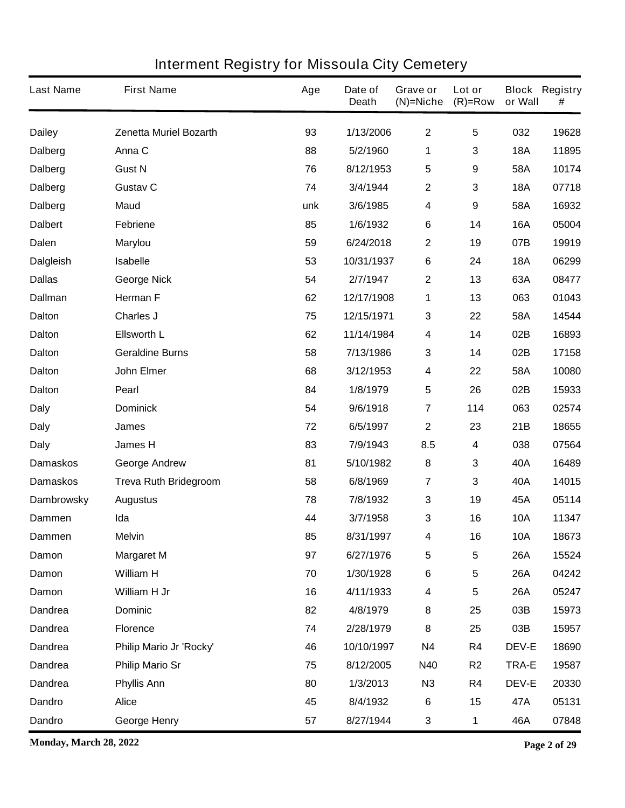| <b>Last Name</b>  | <b>First Name</b>             | Age | Date of<br><b>Death</b> | Grave or<br>$(N)$ =Niche | Lot or<br>$(R)$ =Row | or Wall      | <b>Block Registry</b><br># |
|-------------------|-------------------------------|-----|-------------------------|--------------------------|----------------------|--------------|----------------------------|
| <b>Dailey</b>     | <b>Zenetta Muriel Bozarth</b> | 93  | 1/13/2006               | $\mathbf 2$              | 5                    | 032          | 19628                      |
| <b>Dalberg</b>    | Anna C                        | 88  | 5/2/1960                | 1                        | 3                    | <b>18A</b>   | 11895                      |
| <b>Dalberg</b>    | <b>Gust N</b>                 | 76  | 8/12/1953               | 5                        | 9                    | 58A          | 10174                      |
| <b>Dalberg</b>    | <b>Gustav C</b>               | 74  | 3/4/1944                | $\mathbf 2$              | 3                    | <b>18A</b>   | 07718                      |
| <b>Dalberg</b>    | <b>Maud</b>                   | unk | 3/6/1985                | 4                        | 9                    | 58A          | 16932                      |
| <b>Dalbert</b>    | <b>Febriene</b>               | 85  | 1/6/1932                | 6                        | 14                   | <b>16A</b>   | 05004                      |
| Dalen             | <b>Marylou</b>                | 59  | 6/24/2018               | $\mathbf 2$              | 19                   | 07B          | 19919                      |
| <b>Dalgleish</b>  | <b>Isabelle</b>               | 53  | 10/31/1937              | 6                        | 24                   | <b>18A</b>   | 06299                      |
| <b>Dallas</b>     | <b>George Nick</b>            | 54  | 2/7/1947                | $\mathbf 2$              | 13                   | 63A          | 08477                      |
| <b>Dallman</b>    | <b>Herman F</b>               | 62  | 12/17/1908              | 1                        | 13                   | 063          | 01043                      |
| Dalton            | <b>Charles J</b>              | 75  | 12/15/1971              | 3                        | 22                   | 58A          | 14544                      |
| <b>Dalton</b>     | <b>Ellsworth L</b>            | 62  | 11/14/1984              | 4                        | 14                   | 02B          | 16893                      |
| <b>Dalton</b>     | <b>Geraldine Burns</b>        | 58  | 7/13/1986               | 3                        | 14                   | 02B          | 17158                      |
| <b>Dalton</b>     | <b>John Elmer</b>             | 68  | 3/12/1953               | 4                        | 22                   | 58A          | 10080                      |
| <b>Dalton</b>     | <b>Pearl</b>                  | 84  | 1/8/1979                | 5                        | 26                   | 02B          | 15933                      |
| <b>Daly</b>       | <b>Dominick</b>               | 54  | 9/6/1918                | $\overline{7}$           | 114                  | 063          | 02574                      |
| <b>Daly</b>       | James                         | 72  | 6/5/1997                | $\mathbf 2$              | 23                   | 21B          | 18655                      |
| <b>Daly</b>       | James H                       | 83  | 7/9/1943                | 8.5                      | 4                    | 038          | 07564                      |
| <b>Damaskos</b>   | <b>George Andrew</b>          | 81  | 5/10/1982               | 8                        | 3                    | 40A          | 16489                      |
| <b>Damaskos</b>   | <b>Treva Ruth Bridegroom</b>  | 58  | 6/8/1969                | $\overline{\mathbf{7}}$  | 3                    | 40A          | 14015                      |
| <b>Dambrowsky</b> | <b>Augustus</b>               | 78  | 7/8/1932                | 3                        | 19                   | 45A          | 05114                      |
| <b>Dammen</b>     | Ida                           | 44  | 3/7/1958                | 3                        | 16                   | <b>10A</b>   | 11347                      |
| <b>Dammen</b>     | <b>Melvin</b>                 | 85  | 8/31/1997               | 4                        | 16                   | <b>10A</b>   | 18673                      |
| Damon             | <b>Margaret M</b>             | 97  | 6/27/1976               | 5                        | 5                    | <b>26A</b>   | 15524                      |
| Damon             | <b>William H</b>              | 70  | 1/30/1928               | $\bf 6$                  | 5                    | <b>26A</b>   | 04242                      |
| Damon             | William H Jr                  | 16  | 4/11/1933               | 4                        | 5                    | <b>26A</b>   | 05247                      |
| <b>Dandrea</b>    | <b>Dominic</b>                | 82  | 4/8/1979                | 8                        | 25                   | 03B          | 15973                      |
| <b>Dandrea</b>    | <b>Florence</b>               | 74  | 2/28/1979               | 8                        | 25                   | 03B          | 15957                      |
| <b>Dandrea</b>    | Philip Mario Jr 'Rocky'       | 46  | 10/10/1997              | <b>N4</b>                | R4                   | <b>DEV-E</b> | 18690                      |
| <b>Dandrea</b>    | <b>Philip Mario Sr</b>        | 75  | 8/12/2005               | <b>N40</b>               | R <sub>2</sub>       | <b>TRA-E</b> | 19587                      |
| <b>Dandrea</b>    | <b>Phyllis Ann</b>            | 80  | 1/3/2013                | N3                       | R4                   | <b>DEV-E</b> | 20330                      |
| <b>Dandro</b>     | <b>Alice</b>                  | 45  | 8/4/1932                | $\bf 6$                  | 15                   | 47A          | 05131                      |
| <b>Dandro</b>     | <b>George Henry</b>           | 57  | 8/27/1944               | 3                        | 1                    | 46A          | 07848                      |

**Monday, March 28, 2022 Page 2 of 29**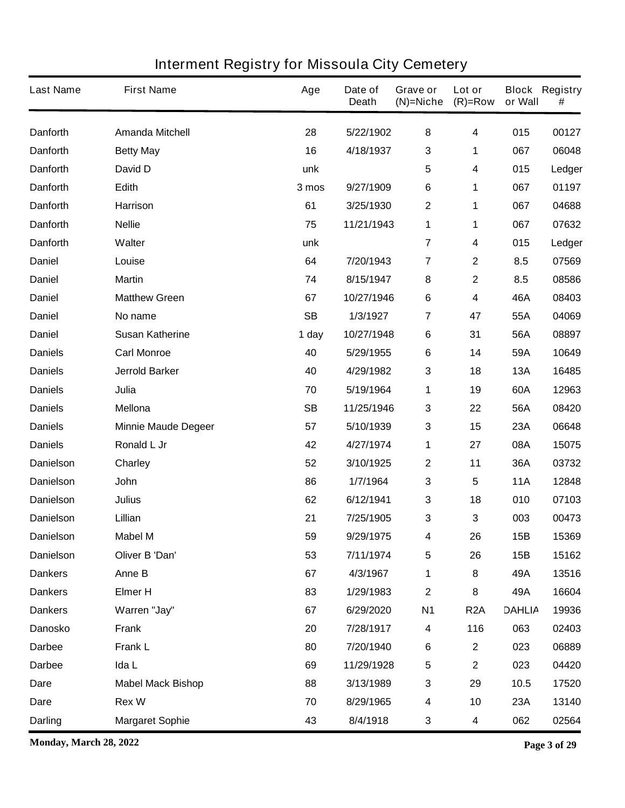| <b>Last Name</b> | <b>First Name</b>          | Age       | Date of<br><b>Death</b> | Grave or<br>$(N)$ =Niche | Lot or<br>$(R)=Row$     | or Wall       | <b>Block Registry</b><br># |
|------------------|----------------------------|-----------|-------------------------|--------------------------|-------------------------|---------------|----------------------------|
| <b>Danforth</b>  | <b>Amanda Mitchell</b>     | 28        | 5/22/1902               | 8                        | 4                       | 015           | 00127                      |
| <b>Danforth</b>  | <b>Betty May</b>           | 16        | 4/18/1937               | 3                        | 1                       | 067           | 06048                      |
| <b>Danforth</b>  | David D                    | unk       |                         | 5                        | 4                       | 015           | Ledger                     |
| <b>Danforth</b>  | Edith                      | 3 mos     | 9/27/1909               | $\bf 6$                  | 1                       | 067           | 01197                      |
| <b>Danforth</b>  | <b>Harrison</b>            | 61        | 3/25/1930               | $\boldsymbol{2}$         | 1                       | 067           | 04688                      |
| <b>Danforth</b>  | <b>Nellie</b>              | 75        | 11/21/1943              | 1                        | 1                       | 067           | 07632                      |
| <b>Danforth</b>  | Walter                     | unk       |                         | $\overline{7}$           | 4                       | 015           | Ledger                     |
| <b>Daniel</b>    | Louise                     | 64        | 7/20/1943               | $\overline{\mathbf{r}}$  | $\mathbf 2$             | 8.5           | 07569                      |
| <b>Daniel</b>    | <b>Martin</b>              | 74        | 8/15/1947               | 8                        | $\mathbf 2$             | 8.5           | 08586                      |
| <b>Daniel</b>    | <b>Matthew Green</b>       | 67        | 10/27/1946              | $\bf 6$                  | 4                       | 46A           | 08403                      |
| <b>Daniel</b>    | No name                    | <b>SB</b> | 1/3/1927                | 7                        | 47                      | 55A           | 04069                      |
| <b>Daniel</b>    | <b>Susan Katherine</b>     | 1 day     | 10/27/1948              | 6                        | 31                      | 56A           | 08897                      |
| <b>Daniels</b>   | <b>Carl Monroe</b>         | 40        | 5/29/1955               | $\bf 6$                  | 14                      | 59A           | 10649                      |
| <b>Daniels</b>   | <b>Jerrold Barker</b>      | 40        | 4/29/1982               | 3                        | 18                      | <b>13A</b>    | 16485                      |
| <b>Daniels</b>   | Julia                      | 70        | 5/19/1964               | 1                        | 19                      | 60A           | 12963                      |
| <b>Daniels</b>   | <b>Mellona</b>             | <b>SB</b> | 11/25/1946              | 3                        | 22                      | 56A           | 08420                      |
| <b>Daniels</b>   | <b>Minnie Maude Degeer</b> | 57        | 5/10/1939               | $\mathbf 3$              | 15                      | 23A           | 06648                      |
| <b>Daniels</b>   | Ronald L Jr                | 42        | 4/27/1974               | 1                        | 27                      | 08A           | 15075                      |
| <b>Danielson</b> | Charley                    | 52        | 3/10/1925               | $\boldsymbol{2}$         | 11                      | 36A           | 03732                      |
| <b>Danielson</b> | <b>John</b>                | 86        | 1/7/1964                | 3                        | 5                       | <b>11A</b>    | 12848                      |
| <b>Danielson</b> | <b>Julius</b>              | 62        | 6/12/1941               | 3                        | 18                      | 010           | 07103                      |
| <b>Danielson</b> | Lillian                    | 21        | 7/25/1905               | 3                        | 3                       | 003           | 00473                      |
| <b>Danielson</b> | <b>Mabel M</b>             | 59        | 9/29/1975               | 4                        | 26                      | <b>15B</b>    | 15369                      |
| <b>Danielson</b> | Oliver B 'Dan'             | 53        | 7/11/1974               | 5                        | 26                      | 15B           | 15162                      |
| <b>Dankers</b>   | Anne B                     | 67        | 4/3/1967                | 1                        | 8                       | 49A           | 13516                      |
| <b>Dankers</b>   | <b>Elmer H</b>             | 83        | 1/29/1983               | $\boldsymbol{2}$         | 8                       | 49A           | 16604                      |
| <b>Dankers</b>   | Warren "Jay"               | 67        | 6/29/2020               | <b>N1</b>                | R <sub>2</sub> A        | <b>DAHLIA</b> | 19936                      |
| <b>Danosko</b>   | <b>Frank</b>               | 20        | 7/28/1917               | 4                        | 116                     | 063           | 02403                      |
| <b>Darbee</b>    | <b>Frank L</b>             | 80        | 7/20/1940               | $\bf 6$                  | $\overline{\mathbf{2}}$ | 023           | 06889                      |
| <b>Darbee</b>    | Ida L                      | 69        | 11/29/1928              | $\sqrt{5}$               | $\mathbf 2$             | 023           | 04420                      |
| Dare             | <b>Mabel Mack Bishop</b>   | 88        | 3/13/1989               | 3                        | 29                      | 10.5          | 17520                      |
| <b>Dare</b>      | <b>Rex W</b>               | 70        | 8/29/1965               | 4                        | 10                      | 23A           | 13140                      |
| <b>Darling</b>   | <b>Margaret Sophie</b>     | 43        | 8/4/1918                | 3                        | 4                       | 062           | 02564                      |

**Monday, March 28, 2022 Page 3 of 29**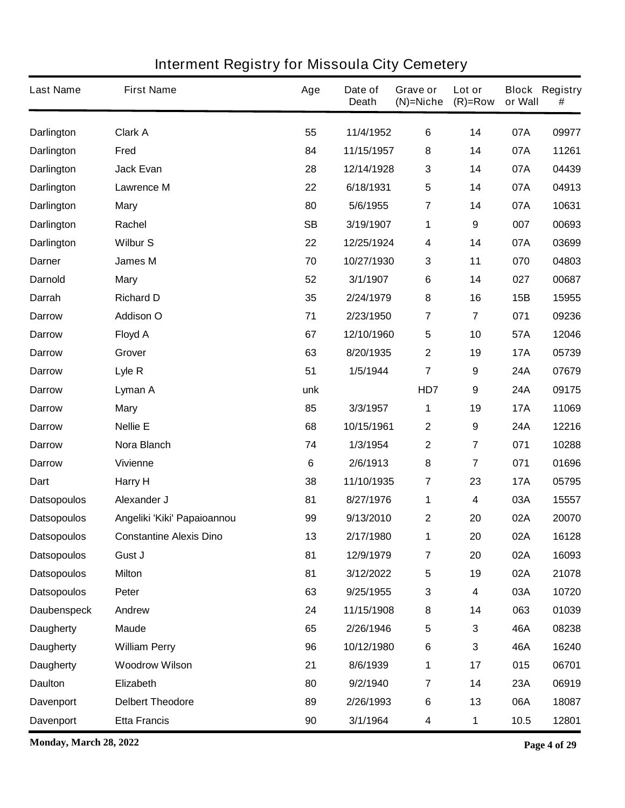| <b>Last Name</b>   | <b>First Name</b>              | Age             | Date of<br><b>Death</b> | Grave or<br>$(N)$ =Niche | Lot or<br>$(R)=Row$     | or Wall    | <b>Block Registry</b><br># |
|--------------------|--------------------------------|-----------------|-------------------------|--------------------------|-------------------------|------------|----------------------------|
| <b>Darlington</b>  | <b>Clark A</b>                 | 55              | 11/4/1952               | $\bf 6$                  | 14                      | 07A        | 09977                      |
| Darlington         | Fred                           | 84              | 11/15/1957              | 8                        | 14                      | 07A        | 11261                      |
| <b>Darlington</b>  | <b>Jack Evan</b>               | 28              | 12/14/1928              | $\mathbf{3}$             | 14                      | 07A        | 04439                      |
| <b>Darlington</b>  | <b>Lawrence M</b>              | 22              | 6/18/1931               | $\sqrt{5}$               | 14                      | 07A        | 04913                      |
| <b>Darlington</b>  | <b>Mary</b>                    | 80              | 5/6/1955                | $\overline{7}$           | 14                      | 07A        | 10631                      |
| Darlington         | Rachel                         | <b>SB</b>       | 3/19/1907               | 1                        | 9                       | 007        | 00693                      |
| <b>Darlington</b>  | <b>Wilbur S</b>                | 22              | 12/25/1924              | $\overline{\mathbf{4}}$  | 14                      | 07A        | 03699                      |
| <b>Darner</b>      | <b>James M</b>                 | 70              | 10/27/1930              | 3                        | 11                      | 070        | 04803                      |
| <b>Darnold</b>     | <b>Mary</b>                    | 52              | 3/1/1907                | 6                        | 14                      | 027        | 00687                      |
| Darrah             | <b>Richard D</b>               | 35              | 2/24/1979               | 8                        | 16                      | 15B        | 15955                      |
| <b>Darrow</b>      | <b>Addison O</b>               | 71              | 2/23/1950               | $\overline{7}$           | $\overline{\mathbf{7}}$ | 071        | 09236                      |
| <b>Darrow</b>      | <b>Floyd A</b>                 | 67              | 12/10/1960              | $\sqrt{5}$               | 10                      | 57A        | 12046                      |
| <b>Darrow</b>      | Grover                         | 63              | 8/20/1935               | $\mathbf 2$              | 19                      | <b>17A</b> | 05739                      |
| <b>Darrow</b>      | Lyle R                         | 51              | 1/5/1944                | $\overline{7}$           | 9                       | <b>24A</b> | 07679                      |
| <b>Darrow</b>      | Lyman A                        | unk             |                         | HD7                      | 9                       | 24A        | 09175                      |
| <b>Darrow</b>      | <b>Mary</b>                    | 85              | 3/3/1957                | 1                        | 19                      | <b>17A</b> | 11069                      |
| <b>Darrow</b>      | <b>Nellie E</b>                | 68              | 10/15/1961              | $\mathbf{2}$             | $\boldsymbol{9}$        | 24A        | 12216                      |
| <b>Darrow</b>      | Nora Blanch                    | 74              | 1/3/1954                | $\boldsymbol{2}$         | 7                       | 071        | 10288                      |
| <b>Darrow</b>      | <b>Vivienne</b>                | $6\phantom{1}6$ | 2/6/1913                | 8                        | 7                       | 071        | 01696                      |
| Dart               | Harry H                        | 38              | 11/10/1935              | $\overline{7}$           | 23                      | <b>17A</b> | 05795                      |
| <b>Datsopoulos</b> | Alexander J                    | 81              | 8/27/1976               | 1                        | 4                       | 03A        | 15557                      |
| <b>Datsopoulos</b> | Angeliki 'Kiki' Papaioannou    | 99              | 9/13/2010               | $\mathbf 2$              | 20                      | 02A        | 20070                      |
| <b>Datsopoulos</b> | <b>Constantine Alexis Dino</b> | 13              | 2/17/1980               | 1                        | 20                      | 02A        | 16128                      |
| <b>Datsopoulos</b> | Gust J                         | 81              | 12/9/1979               | $\overline{7}$           | 20                      | 02A        | 16093                      |
| <b>Datsopoulos</b> | <b>Milton</b>                  | 81              | 3/12/2022               | $\sqrt{5}$               | 19                      | 02A        | 21078                      |
| <b>Datsopoulos</b> | Peter                          | 63              | 9/25/1955               | $\mathbf{3}$             | 4                       | 03A        | 10720                      |
| <b>Daubenspeck</b> | Andrew                         | 24              | 11/15/1908              | 8                        | 14                      | 063        | 01039                      |
| <b>Daugherty</b>   | <b>Maude</b>                   | 65              | 2/26/1946               | $\sqrt{5}$               | 3                       | 46A        | 08238                      |
| <b>Daugherty</b>   | <b>William Perry</b>           | 96              | 10/12/1980              | $\bf 6$                  | 3                       | 46A        | 16240                      |
| <b>Daugherty</b>   | <b>Woodrow Wilson</b>          | 21              | 8/6/1939                | 1                        | 17                      | 015        | 06701                      |
| <b>Daulton</b>     | Elizabeth                      | 80              | 9/2/1940                | $\overline{7}$           | 14                      | 23A        | 06919                      |
| <b>Davenport</b>   | <b>Delbert Theodore</b>        | 89              | 2/26/1993               | $\bf 6$                  | 13                      | 06A        | 18087                      |
| <b>Davenport</b>   | <b>Etta Francis</b>            | 90              | 3/1/1964                | 4                        | 1                       | 10.5       | 12801                      |

**Monday, March 28, 2022 Page 4 of 29**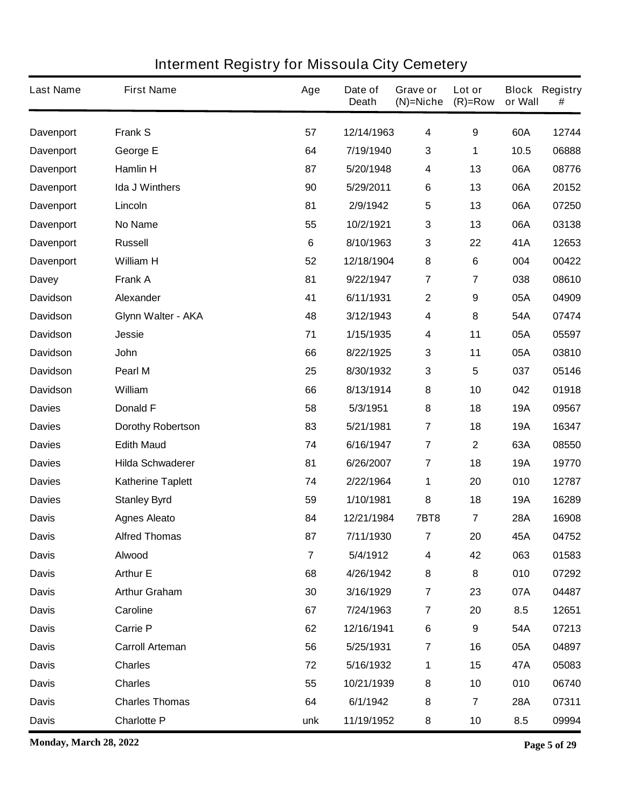| <b>Last Name</b> | <b>First Name</b>        | Age             | Date of<br><b>Death</b> | Grave or<br>$(N)$ =Niche | Lot or<br>$(R)=Row$     | or Wall    | <b>Block Registry</b><br># |
|------------------|--------------------------|-----------------|-------------------------|--------------------------|-------------------------|------------|----------------------------|
| Davenport        | <b>Frank S</b>           | 57              | 12/14/1963              | $\overline{\mathbf{4}}$  | 9                       | 60A        | 12744                      |
| <b>Davenport</b> | George E                 | 64              | 7/19/1940               | 3                        | 1                       | 10.5       | 06888                      |
| <b>Davenport</b> | <b>Hamlin H</b>          | 87              | 5/20/1948               | 4                        | 13                      | 06A        | 08776                      |
| <b>Davenport</b> | <b>Ida J Winthers</b>    | 90              | 5/29/2011               | 6                        | 13                      | 06A        | 20152                      |
| <b>Davenport</b> | Lincoln                  | 81              | 2/9/1942                | $\sqrt{5}$               | 13                      | 06A        | 07250                      |
| <b>Davenport</b> | No Name                  | 55              | 10/2/1921               | 3                        | 13                      | 06A        | 03138                      |
| <b>Davenport</b> | <b>Russell</b>           | $6\phantom{1}6$ | 8/10/1963               | 3                        | 22                      | 41A        | 12653                      |
| <b>Davenport</b> | <b>William H</b>         | 52              | 12/18/1904              | 8                        | 6                       | 004        | 00422                      |
| <b>Davey</b>     | <b>Frank A</b>           | 81              | 9/22/1947               | $\overline{7}$           | $\overline{\mathbf{7}}$ | 038        | 08610                      |
| <b>Davidson</b>  | Alexander                | 41              | 6/11/1931               | $\boldsymbol{2}$         | 9                       | 05A        | 04909                      |
| <b>Davidson</b>  | Glynn Walter - AKA       | 48              | 3/12/1943               | 4                        | 8                       | 54A        | 07474                      |
| <b>Davidson</b>  | <b>Jessie</b>            | 71              | 1/15/1935               | 4                        | 11                      | 05A        | 05597                      |
| <b>Davidson</b>  | John                     | 66              | 8/22/1925               | 3                        | 11                      | 05A        | 03810                      |
| <b>Davidson</b>  | Pearl M                  | 25              | 8/30/1932               | 3                        | 5                       | 037        | 05146                      |
| <b>Davidson</b>  | <b>William</b>           | 66              | 8/13/1914               | 8                        | 10                      | 042        | 01918                      |
| <b>Davies</b>    | <b>Donald F</b>          | 58              | 5/3/1951                | 8                        | 18                      | <b>19A</b> | 09567                      |
| <b>Davies</b>    | <b>Dorothy Robertson</b> | 83              | 5/21/1981               | $\overline{7}$           | 18                      | <b>19A</b> | 16347                      |
| <b>Davies</b>    | <b>Edith Maud</b>        | 74              | 6/16/1947               | $\overline{7}$           | $\mathbf 2$             | 63A        | 08550                      |
| <b>Davies</b>    | <b>Hilda Schwaderer</b>  | 81              | 6/26/2007               | $\overline{7}$           | 18                      | <b>19A</b> | 19770                      |
| <b>Davies</b>    | <b>Katherine Taplett</b> | 74              | 2/22/1964               | 1                        | 20                      | 010        | 12787                      |
| <b>Davies</b>    | <b>Stanley Byrd</b>      | 59              | 1/10/1981               | 8                        | 18                      | <b>19A</b> | 16289                      |
| <b>Davis</b>     | <b>Agnes Aleato</b>      | 84              | 12/21/1984              | <b>7BT8</b>              | 7                       | <b>28A</b> | 16908                      |
| <b>Davis</b>     | <b>Alfred Thomas</b>     | 87              | 7/11/1930               | 7                        | 20                      | 45A        | 04752                      |
| <b>Davis</b>     | Alwood                   | $\overline{7}$  | 5/4/1912                | $\overline{\mathbf{4}}$  | 42                      | 063        | 01583                      |
| <b>Davis</b>     | <b>Arthur E</b>          | 68              | 4/26/1942               | 8                        | 8                       | 010        | 07292                      |
| <b>Davis</b>     | <b>Arthur Graham</b>     | 30              | 3/16/1929               | $\overline{7}$           | 23                      | 07A        | 04487                      |
| <b>Davis</b>     | Caroline                 | 67              | 7/24/1963               | $\overline{7}$           | 20                      | 8.5        | 12651                      |
| <b>Davis</b>     | Carrie P                 | 62              | 12/16/1941              | $\bf 6$                  | $\boldsymbol{9}$        | 54A        | 07213                      |
| <b>Davis</b>     | <b>Carroll Arteman</b>   | 56              | 5/25/1931               | $\overline{7}$           | 16                      | 05A        | 04897                      |
| <b>Davis</b>     | <b>Charles</b>           | 72              | 5/16/1932               | 1                        | 15                      | 47A        | 05083                      |
| <b>Davis</b>     | <b>Charles</b>           | 55              | 10/21/1939              | 8                        | 10                      | 010        | 06740                      |
| <b>Davis</b>     | <b>Charles Thomas</b>    | 64              | 6/1/1942                | 8                        | $\overline{\mathbf{r}}$ | <b>28A</b> | 07311                      |
| <b>Davis</b>     | <b>Charlotte P</b>       | unk             | 11/19/1952              | ${\bf 8}$                | 10                      | 8.5        | 09994                      |

**Monday, March 28, 2022 Page 5 of 29**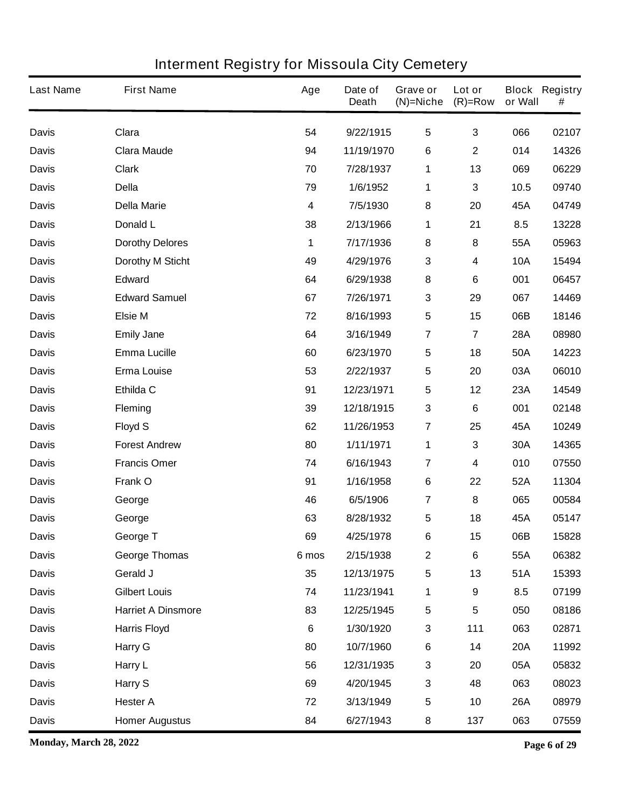| <b>Last Name</b> | <b>First Name</b>         | Age   | Date of<br><b>Death</b> | Grave or<br>$(N)$ =Niche | Lot or<br>$(R)=Row$ | or Wall    | <b>Block Registry</b><br># |
|------------------|---------------------------|-------|-------------------------|--------------------------|---------------------|------------|----------------------------|
| <b>Davis</b>     | Clara                     | 54    | 9/22/1915               | $5\phantom{.0}$          | 3                   | 066        | 02107                      |
| <b>Davis</b>     | <b>Clara Maude</b>        | 94    | 11/19/1970              | 6                        | $\mathbf 2$         | 014        | 14326                      |
| <b>Davis</b>     | <b>Clark</b>              | 70    | 7/28/1937               | 1                        | 13                  | 069        | 06229                      |
| <b>Davis</b>     | <b>Della</b>              | 79    | 1/6/1952                | 1                        | 3                   | 10.5       | 09740                      |
| <b>Davis</b>     | <b>Della Marie</b>        | 4     | 7/5/1930                | 8                        | 20                  | 45A        | 04749                      |
| <b>Davis</b>     | Donald L                  | 38    | 2/13/1966               | 1                        | 21                  | 8.5        | 13228                      |
| <b>Davis</b>     | <b>Dorothy Delores</b>    | 1     | 7/17/1936               | $\pmb{8}$                | 8                   | 55A        | 05963                      |
| <b>Davis</b>     | <b>Dorothy M Sticht</b>   | 49    | 4/29/1976               | $\mathbf 3$              | 4                   | <b>10A</b> | 15494                      |
| <b>Davis</b>     | <b>Edward</b>             | 64    | 6/29/1938               | ${\bf 8}$                | 6                   | 001        | 06457                      |
| <b>Davis</b>     | <b>Edward Samuel</b>      | 67    | 7/26/1971               | $\mathbf{3}$             | 29                  | 067        | 14469                      |
| <b>Davis</b>     | <b>Elsie M</b>            | 72    | 8/16/1993               | $\sqrt{5}$               | 15                  | 06B        | 18146                      |
| <b>Davis</b>     | <b>Emily Jane</b>         | 64    | 3/16/1949               | $\overline{7}$           | 7                   | <b>28A</b> | 08980                      |
| <b>Davis</b>     | <b>Emma Lucille</b>       | 60    | 6/23/1970               | $\sqrt{5}$               | 18                  | 50A        | 14223                      |
| <b>Davis</b>     | <b>Erma Louise</b>        | 53    | 2/22/1937               | 5                        | 20                  | 03A        | 06010                      |
| <b>Davis</b>     | Ethilda C                 | 91    | 12/23/1971              | $\sqrt{5}$               | 12                  | 23A        | 14549                      |
| <b>Davis</b>     | <b>Fleming</b>            | 39    | 12/18/1915              | $\mathbf 3$              | 6                   | 001        | 02148                      |
| <b>Davis</b>     | <b>Floyd S</b>            | 62    | 11/26/1953              | $\overline{7}$           | 25                  | 45A        | 10249                      |
| <b>Davis</b>     | <b>Forest Andrew</b>      | 80    | 1/11/1971               | 1                        | 3                   | 30A        | 14365                      |
| <b>Davis</b>     | <b>Francis Omer</b>       | 74    | 6/16/1943               | 7                        | 4                   | 010        | 07550                      |
| <b>Davis</b>     | Frank O                   | 91    | 1/16/1958               | $\bf 6$                  | 22                  | 52A        | 11304                      |
| <b>Davis</b>     | George                    | 46    | 6/5/1906                | 7                        | 8                   | 065        | 00584                      |
| <b>Davis</b>     | George                    | 63    | 8/28/1932               | 5                        | 18                  | 45A        | 05147                      |
| <b>Davis</b>     | George T                  | 69    | 4/25/1978               | 6                        | 15                  | 06B        | 15828                      |
| <b>Davis</b>     | <b>George Thomas</b>      | 6 mos | 2/15/1938               | $\boldsymbol{2}$         | $\bf 6$             | 55A        | 06382                      |
| <b>Davis</b>     | Gerald J                  | 35    | 12/13/1975              | $\sqrt{5}$               | 13                  | 51A        | 15393                      |
| <b>Davis</b>     | <b>Gilbert Louis</b>      | 74    | 11/23/1941              | 1                        | $\boldsymbol{9}$    | 8.5        | 07199                      |
| <b>Davis</b>     | <b>Harriet A Dinsmore</b> | 83    | 12/25/1945              | $\sqrt{5}$               | 5                   | 050        | 08186                      |
| <b>Davis</b>     | <b>Harris Floyd</b>       | 6     | 1/30/1920               | $\mathbf{3}$             | 111                 | 063        | 02871                      |
| <b>Davis</b>     | <b>Harry G</b>            | 80    | 10/7/1960               | $\bf 6$                  | 14                  | <b>20A</b> | 11992                      |
| <b>Davis</b>     | Harry L                   | 56    | 12/31/1935              | $\mathbf 3$              | 20                  | 05A        | 05832                      |
| <b>Davis</b>     | Harry S                   | 69    | 4/20/1945               | $\mathbf 3$              | 48                  | 063        | 08023                      |
| <b>Davis</b>     | <b>Hester A</b>           | 72    | 3/13/1949               | $\sqrt{5}$               | 10                  | <b>26A</b> | 08979                      |
| <b>Davis</b>     | <b>Homer Augustus</b>     | 84    | 6/27/1943               | 8                        | 137                 | 063        | 07559                      |

**Monday, March 28, 2022 Page 6 of 29**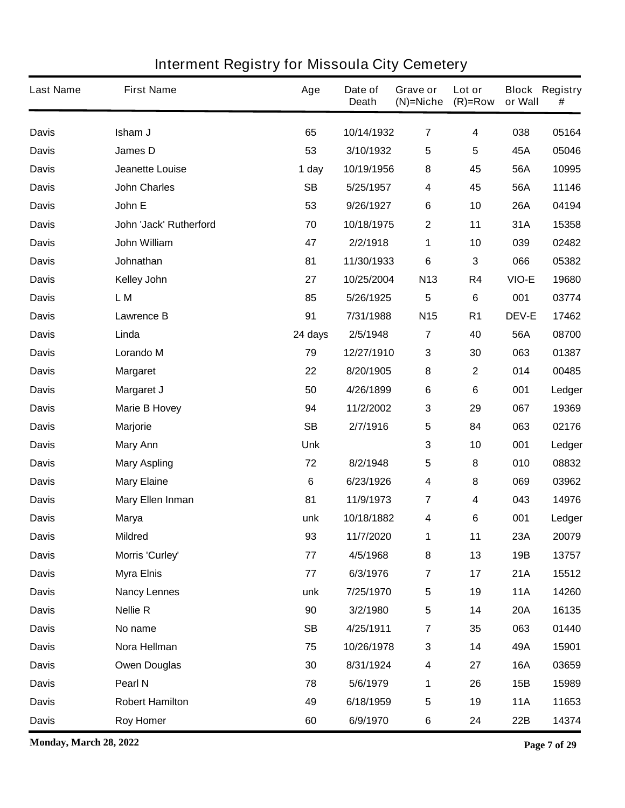| <b>Last Name</b> | <b>First Name</b>       | Age       | Date of<br><b>Death</b> | Grave or<br>$(N)$ =Niche | Lot or<br>$(R)=Row$ | or Wall      | <b>Block Registry</b><br># |
|------------------|-------------------------|-----------|-------------------------|--------------------------|---------------------|--------------|----------------------------|
| <b>Davis</b>     | Isham J                 | 65        | 10/14/1932              | $\overline{7}$           | 4                   | 038          | 05164                      |
| <b>Davis</b>     | James D                 | 53        | 3/10/1932               | $\sqrt{5}$               | 5                   | 45A          | 05046                      |
| <b>Davis</b>     | <b>Jeanette Louise</b>  | 1 day     | 10/19/1956              | 8                        | 45                  | 56A          | 10995                      |
| <b>Davis</b>     | <b>John Charles</b>     | <b>SB</b> | 5/25/1957               | 4                        | 45                  | 56A          | 11146                      |
| <b>Davis</b>     | John E                  | 53        | 9/26/1927               | $\bf 6$                  | 10                  | 26A          | 04194                      |
| <b>Davis</b>     | John 'Jack' Rutherford  | 70        | 10/18/1975              | 2                        | 11                  | 31A          | 15358                      |
| <b>Davis</b>     | John William            | 47        | 2/2/1918                | 1                        | 10                  | 039          | 02482                      |
| <b>Davis</b>     | Johnathan               | 81        | 11/30/1933              | $\bf 6$                  | 3                   | 066          | 05382                      |
| <b>Davis</b>     | <b>Kelley John</b>      | 27        | 10/25/2004              | N <sub>13</sub>          | R4                  | VIO-E        | 19680                      |
| <b>Davis</b>     | L M                     | 85        | 5/26/1925               | $5\phantom{.0}$          | 6                   | 001          | 03774                      |
| <b>Davis</b>     | <b>Lawrence B</b>       | 91        | 7/31/1988               | N <sub>15</sub>          | R <sub>1</sub>      | <b>DEV-E</b> | 17462                      |
| <b>Davis</b>     | Linda                   | 24 days   | 2/5/1948                | $\overline{7}$           | 40                  | 56A          | 08700                      |
| <b>Davis</b>     | <b>Lorando M</b>        | 79        | 12/27/1910              | $\mathbf{3}$             | 30                  | 063          | 01387                      |
| <b>Davis</b>     | <b>Margaret</b>         | 22        | 8/20/1905               | 8                        | $\mathbf{2}$        | 014          | 00485                      |
| <b>Davis</b>     | Margaret J              | 50        | 4/26/1899               | $\bf 6$                  | 6                   | 001          | Ledger                     |
| <b>Davis</b>     | <b>Marie B Hovey</b>    | 94        | 11/2/2002               | 3                        | 29                  | 067          | 19369                      |
| <b>Davis</b>     | <b>Marjorie</b>         | <b>SB</b> | 2/7/1916                | $5\phantom{.0}$          | 84                  | 063          | 02176                      |
| <b>Davis</b>     | <b>Mary Ann</b>         | Unk       |                         | $\mathbf 3$              | 10                  | 001          | Ledger                     |
| <b>Davis</b>     | <b>Mary Aspling</b>     | 72        | 8/2/1948                | $5\phantom{.0}$          | 8                   | 010          | 08832                      |
| <b>Davis</b>     | <b>Mary Elaine</b>      | 6         | 6/23/1926               | $\overline{\mathbf{4}}$  | 8                   | 069          | 03962                      |
| <b>Davis</b>     | <b>Mary Ellen Inman</b> | 81        | 11/9/1973               | $\overline{7}$           | 4                   | 043          | 14976                      |
| <b>Davis</b>     | <b>Marya</b>            | unk       | 10/18/1882              | 4                        | 6                   | 001          | Ledger                     |
| <b>Davis</b>     | <b>Mildred</b>          | 93        | 11/7/2020               | 1                        | 11                  | 23A          | 20079                      |
| <b>Davis</b>     | Morris 'Curley'         | 77        | 4/5/1968                | 8                        | 13                  | 19B          | 13757                      |
| <b>Davis</b>     | <b>Myra Elnis</b>       | 77        | 6/3/1976                | $\overline{7}$           | 17                  | 21A          | 15512                      |
| <b>Davis</b>     | <b>Nancy Lennes</b>     | unk       | 7/25/1970               | $\sqrt{5}$               | 19                  | <b>11A</b>   | 14260                      |
| <b>Davis</b>     | <b>Nellie R</b>         | 90        | 3/2/1980                | $\overline{\mathbf{5}}$  | 14                  | <b>20A</b>   | 16135                      |
| <b>Davis</b>     | No name                 | <b>SB</b> | 4/25/1911               | $\overline{7}$           | 35                  | 063          | 01440                      |
| <b>Davis</b>     | Nora Hellman            | 75        | 10/26/1978              | $\mathbf{3}$             | 14                  | 49A          | 15901                      |
| <b>Davis</b>     | <b>Owen Douglas</b>     | 30        | 8/31/1924               | $\boldsymbol{4}$         | 27                  | <b>16A</b>   | 03659                      |
| <b>Davis</b>     | Pearl N                 | 78        | 5/6/1979                | 1                        | 26                  | 15B          | 15989                      |
| <b>Davis</b>     | <b>Robert Hamilton</b>  | 49        | 6/18/1959               | ${\bf 5}$                | 19                  | <b>11A</b>   | 11653                      |
| <b>Davis</b>     | <b>Roy Homer</b>        | 60        | 6/9/1970                | $\bf 6$                  | 24                  | 22B          | 14374                      |

**Monday, March 28, 2022 Page 7 of 29**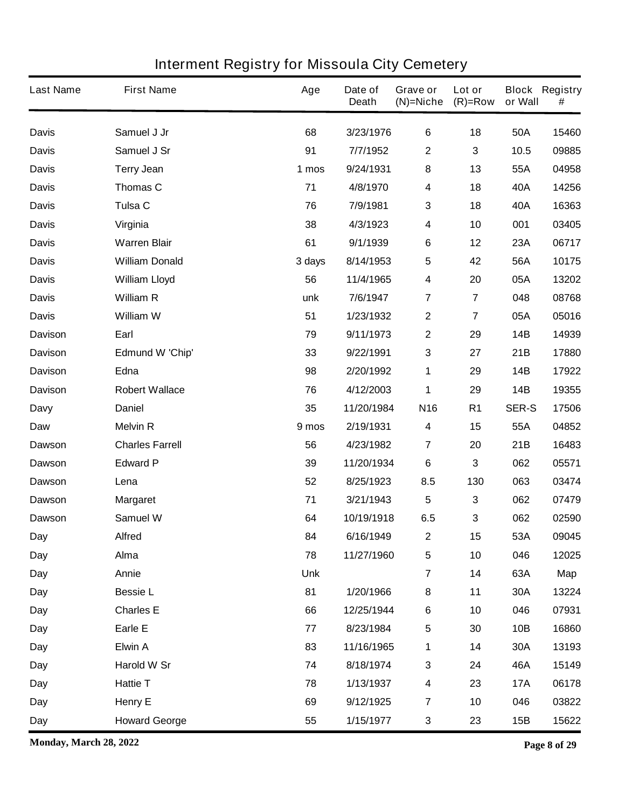| <b>Last Name</b> | <b>First Name</b>      | Age        | Date of<br><b>Death</b> | Grave or<br>$(N)$ =Niche | Lot or<br>$(R)=Row$ | or Wall      | <b>Block Registry</b><br># |
|------------------|------------------------|------------|-------------------------|--------------------------|---------------------|--------------|----------------------------|
| <b>Davis</b>     | Samuel J Jr            | 68         | 3/23/1976               | $\bf 6$                  | 18                  | 50A          | 15460                      |
| <b>Davis</b>     | Samuel J Sr            | 91         | 7/7/1952                | $\mathbf 2$              | 3                   | 10.5         | 09885                      |
| <b>Davis</b>     | <b>Terry Jean</b>      | 1 mos      | 9/24/1931               | 8                        | 13                  | 55A          | 04958                      |
| <b>Davis</b>     | Thomas C               | 71         | 4/8/1970                | 4                        | 18                  | 40A          | 14256                      |
| <b>Davis</b>     | Tulsa C                | 76         | 7/9/1981                | $\mathbf{3}$             | 18                  | 40A          | 16363                      |
| <b>Davis</b>     | Virginia               | 38         | 4/3/1923                | 4                        | 10                  | 001          | 03405                      |
| <b>Davis</b>     | <b>Warren Blair</b>    | 61         | 9/1/1939                | $\bf 6$                  | 12                  | 23A          | 06717                      |
| <b>Davis</b>     | <b>William Donald</b>  | 3 days     | 8/14/1953               | $\overline{\mathbf{5}}$  | 42                  | 56A          | 10175                      |
| <b>Davis</b>     | <b>William Lloyd</b>   | 56         | 11/4/1965               | 4                        | 20                  | 05A          | 13202                      |
| <b>Davis</b>     | <b>William R</b>       | unk        | 7/6/1947                | $\overline{7}$           | $\overline{7}$      | 048          | 08768                      |
| <b>Davis</b>     | <b>William W</b>       | 51         | 1/23/1932               | $\boldsymbol{2}$         | $\overline{7}$      | 05A          | 05016                      |
| <b>Davison</b>   | Earl                   | 79         | 9/11/1973               | $\mathbf{2}$             | 29                  | <b>14B</b>   | 14939                      |
| <b>Davison</b>   | <b>Edmund W 'Chip'</b> | 33         | 9/22/1991               | $\mathbf 3$              | 27                  | 21B          | 17880                      |
| <b>Davison</b>   | Edna                   | 98         | 2/20/1992               | 1                        | 29                  | <b>14B</b>   | 17922                      |
| <b>Davison</b>   | <b>Robert Wallace</b>  | 76         | 4/12/2003               | 1                        | 29                  | <b>14B</b>   | 19355                      |
| <b>Davy</b>      | <b>Daniel</b>          | 35         | 11/20/1984              | N <sub>16</sub>          | R <sub>1</sub>      | <b>SER-S</b> | 17506                      |
| Daw              | <b>Melvin R</b>        | 9 mos      | 2/19/1931               | 4                        | 15                  | 55A          | 04852                      |
| <b>Dawson</b>    | <b>Charles Farrell</b> | 56         | 4/23/1982               | 7                        | 20                  | 21B          | 16483                      |
| <b>Dawson</b>    | <b>Edward P</b>        | 39         | 11/20/1934              | $\bf 6$                  | 3                   | 062          | 05571                      |
| <b>Dawson</b>    | Lena                   | 52         | 8/25/1923               | 8.5                      | 130                 | 063          | 03474                      |
| Dawson           | <b>Margaret</b>        | 71         | 3/21/1943               | 5                        | 3                   | 062          | 07479                      |
| <b>Dawson</b>    | <b>Samuel W</b>        | 64         | 10/19/1918              | 6.5                      | 3                   | 062          | 02590                      |
| Day              | <b>Alfred</b>          | 84         | 6/16/1949               | $\mathbf 2$              | 15                  | 53A          | 09045                      |
| Day              | Alma                   | 78         | 11/27/1960              | $\overline{\mathbf{5}}$  | 10                  | 046          | 12025                      |
| <b>Day</b>       | Annie                  | <b>Unk</b> |                         | $\overline{7}$           | 14                  | 63A          | Map                        |
| Day              | <b>Bessie L</b>        | 81         | 1/20/1966               | 8                        | 11                  | <b>30A</b>   | 13224                      |
| <b>Day</b>       | <b>Charles E</b>       | 66         | 12/25/1944              | $\bf 6$                  | 10                  | 046          | 07931                      |
| Day              | Earle E                | 77         | 8/23/1984               | 5                        | 30                  | 10B          | 16860                      |
| <b>Day</b>       | Elwin A                | 83         | 11/16/1965              | 1                        | 14                  | 30A          | 13193                      |
| <b>Day</b>       | Harold W Sr            | 74         | 8/18/1974               | 3                        | 24                  | 46A          | 15149                      |
| <b>Day</b>       | <b>Hattie T</b>        | 78         | 1/13/1937               | 4                        | 23                  | <b>17A</b>   | 06178                      |
| Day              | Henry E                | 69         | 9/12/1925               | $\overline{7}$           | 10                  | 046          | 03822                      |
| Day              | <b>Howard George</b>   | 55         | 1/15/1977               | 3                        | 23                  | 15B          | 15622                      |

**Monday, March 28, 2022 Page 8 of 29**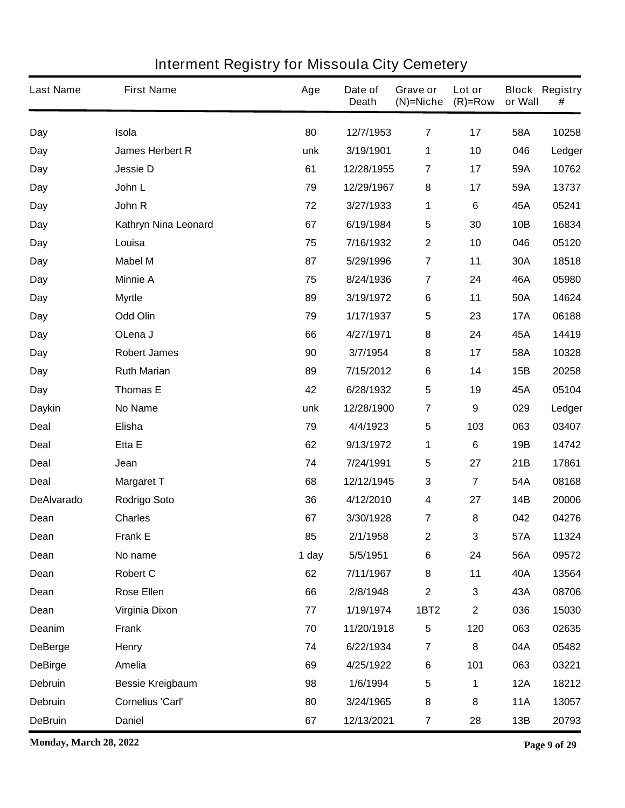| <b>Last Name</b>  | <b>First Name</b>       | Age   | Date of<br><b>Death</b> | <b>Grave or</b><br>$(N)$ =Niche | Lot or<br>$(R)=Row$     | or Wall    | <b>Block Registry</b><br># |
|-------------------|-------------------------|-------|-------------------------|---------------------------------|-------------------------|------------|----------------------------|
| Day               | Isola                   | 80    | 12/7/1953               | 7                               | 17                      | 58A        | 10258                      |
| Day               | <b>James Herbert R</b>  | unk   | 3/19/1901               | 1                               | 10                      | 046        | Ledger                     |
| Day               | <b>Jessie D</b>         | 61    | 12/28/1955              | $\overline{7}$                  | 17                      | 59A        | 10762                      |
| Day               | John L                  | 79    | 12/29/1967              | 8                               | 17                      | 59A        | 13737                      |
| Day               | John R                  | 72    | 3/27/1933               | 1                               | 6                       | 45A        | 05241                      |
| Day               | Kathryn Nina Leonard    | 67    | 6/19/1984               | 5                               | 30                      | 10B        | 16834                      |
| Day               | Louisa                  | 75    | 7/16/1932               | $\boldsymbol{2}$                | 10                      | 046        | 05120                      |
| Day               | <b>Mabel M</b>          | 87    | 5/29/1996               | $\overline{7}$                  | 11                      | 30A        | 18518                      |
| Day               | <b>Minnie A</b>         | 75    | 8/24/1936               | $\overline{7}$                  | 24                      | 46A        | 05980                      |
| Day               | <b>Myrtle</b>           | 89    | 3/19/1972               | $\bf 6$                         | 11                      | 50A        | 14624                      |
| Day               | <b>Odd Olin</b>         | 79    | 1/17/1937               | 5                               | 23                      | <b>17A</b> | 06188                      |
| Day               | OLena J                 | 66    | 4/27/1971               | 8                               | 24                      | 45A        | 14419                      |
| Day               | <b>Robert James</b>     | 90    | 3/7/1954                | 8                               | 17                      | 58A        | 10328                      |
| Day               | <b>Ruth Marian</b>      | 89    | 7/15/2012               | $\bf 6$                         | 14                      | 15B        | 20258                      |
| Day               | <b>Thomas E</b>         | 42    | 6/28/1932               | $5\phantom{.0}$                 | 19                      | 45A        | 05104                      |
| <b>Daykin</b>     | <b>No Name</b>          | unk   | 12/28/1900              | $\overline{7}$                  | 9                       | 029        | Ledger                     |
| <b>Deal</b>       | Elisha                  | 79    | 4/4/1923                | 5                               | 103                     | 063        | 03407                      |
| <b>Deal</b>       | Etta E                  | 62    | 9/13/1972               | 1                               | 6                       | 19B        | 14742                      |
| <b>Deal</b>       | Jean                    | 74    | 7/24/1991               | 5                               | 27                      | 21B        | 17861                      |
| <b>Deal</b>       | <b>Margaret T</b>       | 68    | 12/12/1945              | 3                               | $\overline{\mathbf{7}}$ | 54A        | 08168                      |
| <b>DeAlvarado</b> | <b>Rodrigo Soto</b>     | 36    | 4/12/2010               | 4                               | 27                      | 14B        | 20006                      |
| Dean              | <b>Charles</b>          | 67    | 3/30/1928               | 7                               | 8                       | 042        | 04276                      |
| Dean              | <b>Frank E</b>          | 85    | 2/1/1958                | $\boldsymbol{2}$                | 3                       | 57A        | 11324                      |
| Dean              | No name                 | 1 day | 5/5/1951                | 6                               | 24                      | 56A        | 09572                      |
| Dean              | <b>Robert C</b>         | 62    | 7/11/1967               | 8                               | 11                      | 40A        | 13564                      |
| Dean              | <b>Rose Ellen</b>       | 66    | 2/8/1948                | $\mathbf 2$                     | 3                       | 43A        | 08706                      |
| Dean              | <b>Virginia Dixon</b>   | 77    | 1/19/1974               | <b>1BT2</b>                     | $\mathbf 2$             | 036        | 15030                      |
| Deanim            | <b>Frank</b>            | 70    | 11/20/1918              | 5                               | 120                     | 063        | 02635                      |
| <b>DeBerge</b>    | Henry                   | 74    | 6/22/1934               | $\overline{7}$                  | 8                       | 04A        | 05482                      |
| <b>DeBirge</b>    | Amelia                  | 69    | 4/25/1922               | $\bf 6$                         | 101                     | 063        | 03221                      |
| Debruin           | <b>Bessie Kreigbaum</b> | 98    | 1/6/1994                | $\overline{\mathbf{5}}$         | 1                       | <b>12A</b> | 18212                      |
| Debruin           | <b>Cornelius 'Carl'</b> | 80    | 3/24/1965               | 8                               | 8                       | <b>11A</b> | 13057                      |
| <b>DeBruin</b>    | <b>Daniel</b>           | 67    | 12/13/2021              | $\overline{\mathbf{7}}$         | 28                      | 13B        | 20793                      |

**Monday, March 28, 2022 Page 9 of 29**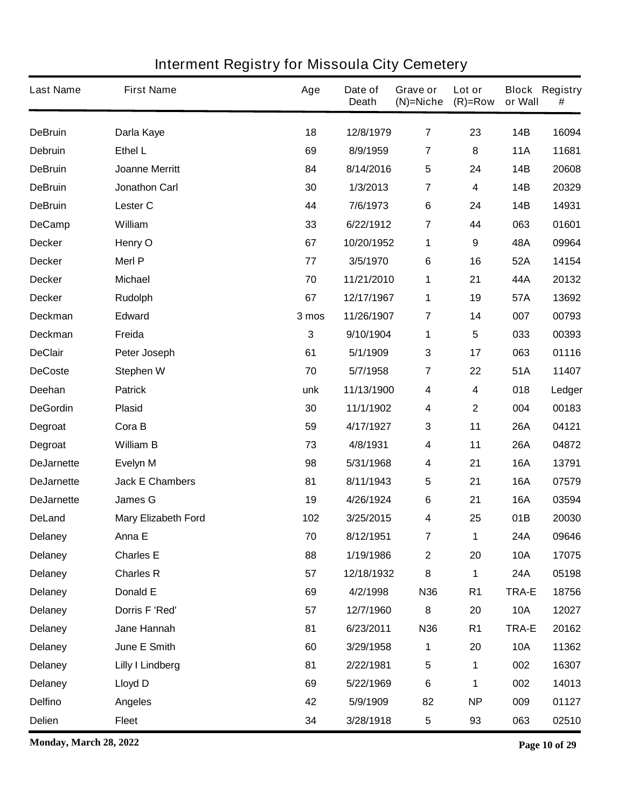| <b>Last Name</b>  | <b>First Name</b>          | Age   | Date of<br><b>Death</b> | Grave or<br>$(N)$ =Niche | Lot or<br>$(R)=Row$ | or Wall      | <b>Block Registry</b><br># |
|-------------------|----------------------------|-------|-------------------------|--------------------------|---------------------|--------------|----------------------------|
| <b>DeBruin</b>    | Darla Kaye                 | 18    | 12/8/1979               | $\overline{7}$           | 23                  | <b>14B</b>   | 16094                      |
| <b>Debruin</b>    | Ethel L                    | 69    | 8/9/1959                | 7                        | 8                   | <b>11A</b>   | 11681                      |
| <b>DeBruin</b>    | <b>Joanne Merritt</b>      | 84    | 8/14/2016               | $\overline{\mathbf{5}}$  | 24                  | 14B          | 20608                      |
| <b>DeBruin</b>    | <b>Jonathon Carl</b>       | 30    | 1/3/2013                | 7                        | 4                   | <b>14B</b>   | 20329                      |
| <b>DeBruin</b>    | <b>Lester C</b>            | 44    | 7/6/1973                | $\bf 6$                  | 24                  | <b>14B</b>   | 14931                      |
| <b>DeCamp</b>     | William                    | 33    | 6/22/1912               | 7                        | 44                  | 063          | 01601                      |
| <b>Decker</b>     | Henry O                    | 67    | 10/20/1952              | 1                        | 9                   | 48A          | 09964                      |
| <b>Decker</b>     | <b>Merl P</b>              | 77    | 3/5/1970                | 6                        | 16                  | 52A          | 14154                      |
| <b>Decker</b>     | <b>Michael</b>             | 70    | 11/21/2010              | 1                        | 21                  | 44A          | 20132                      |
| <b>Decker</b>     | <b>Rudolph</b>             | 67    | 12/17/1967              | 1                        | 19                  | 57A          | 13692                      |
| <b>Deckman</b>    | <b>Edward</b>              | 3 mos | 11/26/1907              | 7                        | 14                  | 007          | 00793                      |
| <b>Deckman</b>    | Freida                     | 3     | 9/10/1904               | 1                        | 5                   | 033          | 00393                      |
| <b>DeClair</b>    | Peter Joseph               | 61    | 5/1/1909                | $\mathbf{3}$             | 17                  | 063          | 01116                      |
| <b>DeCoste</b>    | <b>Stephen W</b>           | 70    | 5/7/1958                | 7                        | 22                  | 51A          | 11407                      |
| Deehan            | <b>Patrick</b>             | unk   | 11/13/1900              | 4                        | 4                   | 018          | Ledger                     |
| <b>DeGordin</b>   | <b>Plasid</b>              | 30    | 11/1/1902               | $\boldsymbol{4}$         | $\mathbf 2$         | 004          | 00183                      |
| Degroat           | Cora B                     | 59    | 4/17/1927               | 3                        | 11                  | <b>26A</b>   | 04121                      |
| Degroat           | <b>William B</b>           | 73    | 4/8/1931                | 4                        | 11                  | <b>26A</b>   | 04872                      |
| <b>DeJarnette</b> | <b>Evelyn M</b>            | 98    | 5/31/1968               | $\boldsymbol{4}$         | 21                  | <b>16A</b>   | 13791                      |
| <b>DeJarnette</b> | <b>Jack E Chambers</b>     | 81    | 8/11/1943               | 5                        | 21                  | <b>16A</b>   | 07579                      |
| <b>DeJarnette</b> | <b>James G</b>             | 19    | 4/26/1924               | 6                        | 21                  | <b>16A</b>   | 03594                      |
| <b>DeLand</b>     | <b>Mary Elizabeth Ford</b> | 102   | 3/25/2015               | 4                        | 25                  | 01B          | 20030                      |
| <b>Delaney</b>    | Anna E                     | 70    | 8/12/1951               | 7                        | 1                   | 24A          | 09646                      |
| <b>Delaney</b>    | <b>Charles E</b>           | 88    | 1/19/1986               | $\boldsymbol{2}$         | 20                  | <b>10A</b>   | 17075                      |
| <b>Delaney</b>    | <b>Charles R</b>           | 57    | 12/18/1932              | 8                        | 1                   | 24A          | 05198                      |
| <b>Delaney</b>    | Donald E                   | 69    | 4/2/1998                | N36                      | R <sub>1</sub>      | <b>TRA-E</b> | 18756                      |
| <b>Delaney</b>    | Dorris F 'Red'             | 57    | 12/7/1960               | 8                        | 20                  | <b>10A</b>   | 12027                      |
| <b>Delaney</b>    | Jane Hannah                | 81    | 6/23/2011               | N36                      | R <sub>1</sub>      | TRA-E        | 20162                      |
| <b>Delaney</b>    | June E Smith               | 60    | 3/29/1958               | 1                        | 20                  | <b>10A</b>   | 11362                      |
| <b>Delaney</b>    | <b>Lilly I Lindberg</b>    | 81    | 2/22/1981               | $\sqrt{5}$               | 1                   | 002          | 16307                      |
| <b>Delaney</b>    | <b>Lloyd D</b>             | 69    | 5/22/1969               | $\bf 6$                  | 1                   | 002          | 14013                      |
| <b>Delfino</b>    | <b>Angeles</b>             | 42    | 5/9/1909                | 82                       | <b>NP</b>           | 009          | 01127                      |
| Delien            | <b>Fleet</b>               | 34    | 3/28/1918               | 5                        | 93                  | 063          | 02510                      |

**Monday, March 28, 2022 Page 10 of 29**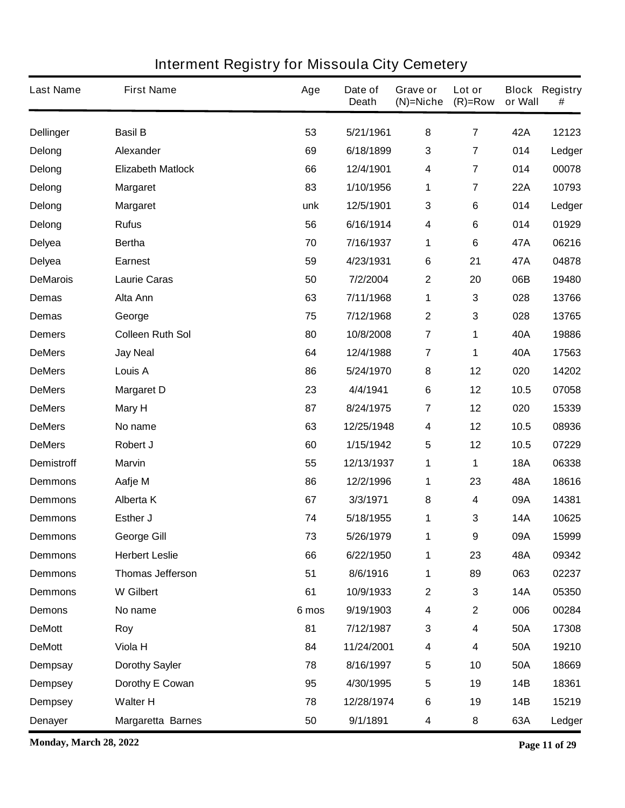| <b>Last Name</b>  | <b>First Name</b>        | Age   | Date of<br><b>Death</b> | Grave or<br>$(N)$ =Niche | Lot or<br>$(R)=Row$     | or Wall    | <b>Block Registry</b><br># |
|-------------------|--------------------------|-------|-------------------------|--------------------------|-------------------------|------------|----------------------------|
| <b>Dellinger</b>  | <b>Basil B</b>           | 53    | 5/21/1961               | 8                        | $\overline{\mathbf{7}}$ | 42A        | 12123                      |
| Delong            | Alexander                | 69    | 6/18/1899               | $\mathbf{3}$             | 7                       | 014        | Ledger                     |
| Delong            | <b>Elizabeth Matlock</b> | 66    | 12/4/1901               | $\overline{\mathbf{4}}$  | 7                       | 014        | 00078                      |
| Delong            | <b>Margaret</b>          | 83    | 1/10/1956               | 1                        | 7                       | <b>22A</b> | 10793                      |
| Delong            | <b>Margaret</b>          | unk   | 12/5/1901               | $\mathbf{3}$             | 6                       | 014        | Ledger                     |
| Delong            | <b>Rufus</b>             | 56    | 6/16/1914               | 4                        | 6                       | 014        | 01929                      |
| <b>Delyea</b>     | <b>Bertha</b>            | 70    | 7/16/1937               | 1                        | 6                       | 47A        | 06216                      |
| <b>Delyea</b>     | <b>Earnest</b>           | 59    | 4/23/1931               | 6                        | 21                      | 47A        | 04878                      |
| <b>DeMarois</b>   | <b>Laurie Caras</b>      | 50    | 7/2/2004                | $\boldsymbol{2}$         | 20                      | 06B        | 19480                      |
| <b>Demas</b>      | Alta Ann                 | 63    | 7/11/1968               | 1                        | 3                       | 028        | 13766                      |
| <b>Demas</b>      | George                   | 75    | 7/12/1968               | $\mathbf{2}$             | 3                       | 028        | 13765                      |
| <b>Demers</b>     | <b>Colleen Ruth Sol</b>  | 80    | 10/8/2008               | $\overline{7}$           | 1                       | 40A        | 19886                      |
| <b>DeMers</b>     | <b>Jay Neal</b>          | 64    | 12/4/1988               | $\overline{7}$           | 1                       | 40A        | 17563                      |
| <b>DeMers</b>     | Louis A                  | 86    | 5/24/1970               | ${\bf 8}$                | 12                      | 020        | 14202                      |
| <b>DeMers</b>     | <b>Margaret D</b>        | 23    | 4/4/1941                | 6                        | 12                      | 10.5       | 07058                      |
| <b>DeMers</b>     | <b>Mary H</b>            | 87    | 8/24/1975               | 7                        | 12                      | 020        | 15339                      |
| <b>DeMers</b>     | No name                  | 63    | 12/25/1948              | 4                        | 12                      | 10.5       | 08936                      |
| <b>DeMers</b>     | Robert J                 | 60    | 1/15/1942               | $\overline{\mathbf{5}}$  | 12                      | 10.5       | 07229                      |
| <b>Demistroff</b> | <b>Marvin</b>            | 55    | 12/13/1937              | 1                        | 1                       | <b>18A</b> | 06338                      |
| <b>Demmons</b>    | Aafje M                  | 86    | 12/2/1996               | 1                        | 23                      | 48A        | 18616                      |
| <b>Demmons</b>    | <b>Alberta K</b>         | 67    | 3/3/1971                | 8                        | 4                       | 09A        | 14381                      |
| <b>Demmons</b>    | Esther J                 | 74    | 5/18/1955               | 1                        | 3                       | <b>14A</b> | 10625                      |
| <b>Demmons</b>    | <b>George Gill</b>       | 73    | 5/26/1979               | 1                        | 9                       | 09A        | 15999                      |
| <b>Demmons</b>    | <b>Herbert Leslie</b>    | 66    | 6/22/1950               | 1                        | 23                      | 48A        | 09342                      |
| <b>Demmons</b>    | <b>Thomas Jefferson</b>  | 51    | 8/6/1916                | 1                        | 89                      | 063        | 02237                      |
| <b>Demmons</b>    | <b>W</b> Gilbert         | 61    | 10/9/1933               | $\boldsymbol{2}$         | 3                       | <b>14A</b> | 05350                      |
| <b>Demons</b>     | No name                  | 6 mos | 9/19/1903               | $\overline{\mathbf{4}}$  | $\mathbf 2$             | 006        | 00284                      |
| <b>DeMott</b>     | Roy                      | 81    | 7/12/1987               | $\mathbf{3}$             | 4                       | <b>50A</b> | 17308                      |
| <b>DeMott</b>     | Viola H                  | 84    | 11/24/2001              | $\boldsymbol{4}$         | 4                       | <b>50A</b> | 19210                      |
| <b>Dempsay</b>    | <b>Dorothy Sayler</b>    | 78    | 8/16/1997               | $\overline{\mathbf{5}}$  | 10                      | <b>50A</b> | 18669                      |
| <b>Dempsey</b>    | Dorothy E Cowan          | 95    | 4/30/1995               | $\sqrt{5}$               | 19                      | 14B        | 18361                      |
| <b>Dempsey</b>    | <b>Walter H</b>          | 78    | 12/28/1974              | $\bf 6$                  | 19                      | 14B        | 15219                      |
| <b>Denayer</b>    | <b>Margaretta Barnes</b> | 50    | 9/1/1891                | 4                        | 8                       | 63A        | Ledger                     |

**Monday, March 28, 2022 Page 11 of 29**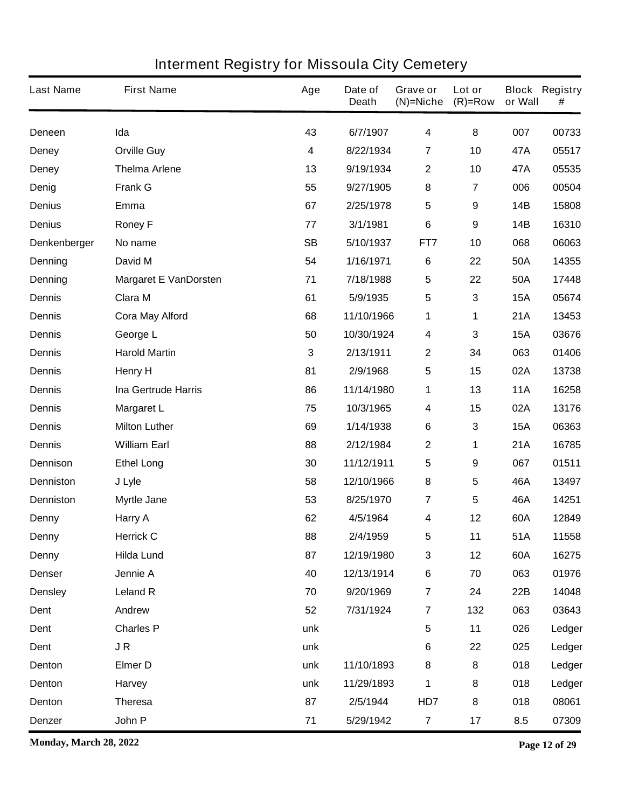| <b>Last Name</b> | <b>First Name</b>            | Age       | Date of<br><b>Death</b> | Grave or<br>$(N)$ =Niche | Lot or<br>$(R)=Row$     | or Wall    | <b>Block Registry</b><br># |
|------------------|------------------------------|-----------|-------------------------|--------------------------|-------------------------|------------|----------------------------|
| Deneen           | Ida                          | 43        | 6/7/1907                | $\overline{\mathbf{4}}$  | 8                       | 007        | 00733                      |
| <b>Deney</b>     | <b>Orville Guy</b>           | 4         | 8/22/1934               | 7                        | 10                      | 47A        | 05517                      |
| <b>Deney</b>     | <b>Thelma Arlene</b>         | 13        | 9/19/1934               | $\boldsymbol{2}$         | 10                      | 47A        | 05535                      |
| Denig            | <b>Frank G</b>               | 55        | 9/27/1905               | 8                        | $\overline{\mathbf{7}}$ | 006        | 00504                      |
| <b>Denius</b>    | Emma                         | 67        | 2/25/1978               | $\overline{\mathbf{5}}$  | 9                       | <b>14B</b> | 15808                      |
| <b>Denius</b>    | <b>Roney F</b>               | 77        | 3/1/1981                | 6                        | 9                       | <b>14B</b> | 16310                      |
| Denkenberger     | No name                      | <b>SB</b> | 5/10/1937               | FT7                      | 10                      | 068        | 06063                      |
| Denning          | David M                      | 54        | 1/16/1971               | $6\phantom{1}6$          | 22                      | 50A        | 14355                      |
| Denning          | <b>Margaret E VanDorsten</b> | 71        | 7/18/1988               | $\overline{\mathbf{5}}$  | 22                      | 50A        | 17448                      |
| <b>Dennis</b>    | Clara M                      | 61        | 5/9/1935                | 5                        | 3                       | <b>15A</b> | 05674                      |
| <b>Dennis</b>    | <b>Cora May Alford</b>       | 68        | 11/10/1966              | 1                        | 1                       | 21A        | 13453                      |
| <b>Dennis</b>    | George L                     | 50        | 10/30/1924              | $\boldsymbol{4}$         | 3                       | <b>15A</b> | 03676                      |
| <b>Dennis</b>    | <b>Harold Martin</b>         | 3         | 2/13/1911               | $\mathbf{2}$             | 34                      | 063        | 01406                      |
| <b>Dennis</b>    | <b>Henry H</b>               | 81        | 2/9/1968                | $\sqrt{5}$               | 15                      | 02A        | 13738                      |
| <b>Dennis</b>    | <b>Ina Gertrude Harris</b>   | 86        | 11/14/1980              | 1                        | 13                      | <b>11A</b> | 16258                      |
| <b>Dennis</b>    | <b>Margaret L</b>            | 75        | 10/3/1965               | $\boldsymbol{4}$         | 15                      | 02A        | 13176                      |
| <b>Dennis</b>    | <b>Milton Luther</b>         | 69        | 1/14/1938               | 6                        | 3                       | <b>15A</b> | 06363                      |
| <b>Dennis</b>    | <b>William Earl</b>          | 88        | 2/12/1984               | $\boldsymbol{2}$         | 1                       | 21A        | 16785                      |
| <b>Dennison</b>  | <b>Ethel Long</b>            | 30        | 11/12/1911              | 5                        | 9                       | 067        | 01511                      |
| <b>Denniston</b> | J Lyle                       | 58        | 12/10/1966              | 8                        | 5                       | 46A        | 13497                      |
| <b>Denniston</b> | <b>Myrtle Jane</b>           | 53        | 8/25/1970               | $\overline{\mathbf{r}}$  | 5                       | 46A        | 14251                      |
| <b>Denny</b>     | Harry A                      | 62        | 4/5/1964                | 4                        | 12                      | 60A        | 12849                      |
| <b>Denny</b>     | <b>Herrick C</b>             | 88        | 2/4/1959                | 5                        | 11                      | 51A        | 11558                      |
| <b>Denny</b>     | <b>Hilda Lund</b>            | 87        | 12/19/1980              | $\mathbf 3$              | 12                      | 60A        | 16275                      |
| <b>Denser</b>    | Jennie A                     | 40        | 12/13/1914              | $\bf 6$                  | 70                      | 063        | 01976                      |
| <b>Densley</b>   | <b>Leland R</b>              | 70        | 9/20/1969               | $\overline{\mathbf{r}}$  | 24                      | 22B        | 14048                      |
| Dent             | Andrew                       | 52        | 7/31/1924               | $\overline{7}$           | 132                     | 063        | 03643                      |
| Dent             | <b>Charles P</b>             | unk       |                         | $\sqrt{5}$               | 11                      | 026        | Ledger                     |
| Dent             | JR                           | unk       |                         | $6\phantom{1}6$          | 22                      | 025        | Ledger                     |
| Denton           | <b>Elmer D</b>               | unk       | 11/10/1893              | 8                        | 8                       | 018        | Ledger                     |
| Denton           | Harvey                       | unk       | 11/29/1893              | 1                        | 8                       | 018        | Ledger                     |
| Denton           | <b>Theresa</b>               | 87        | 2/5/1944                | HD7                      | 8                       | 018        | 08061                      |
| Denzer           | John P                       | 71        | 5/29/1942               | $\overline{7}$           | 17                      | 8.5        | 07309                      |

**Monday, March 28, 2022 Page 12 of 29**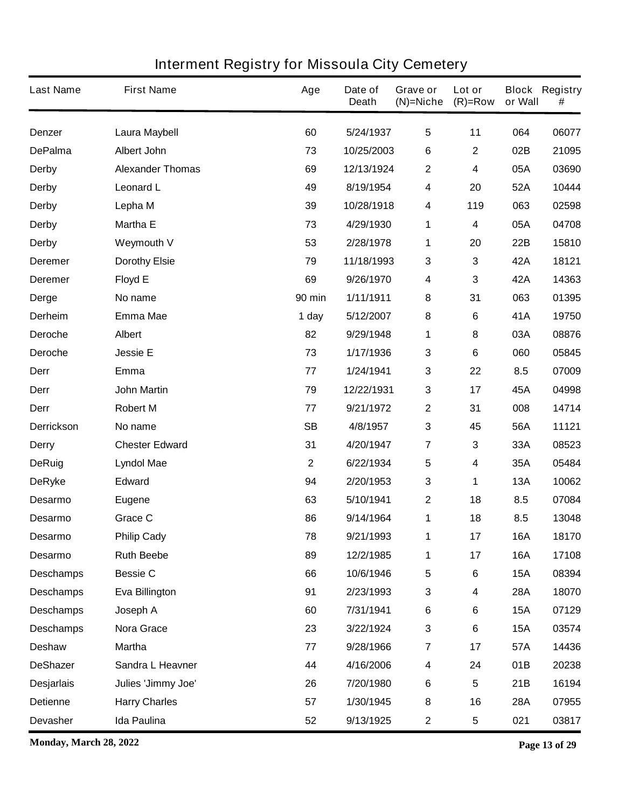| <b>Last Name</b>  | <b>First Name</b>       | Age           | Date of<br><b>Death</b> | Grave or<br>$(N)$ =Niche | Lot or<br>$(R)=Row$ | or Wall    | <b>Block Registry</b><br># |
|-------------------|-------------------------|---------------|-------------------------|--------------------------|---------------------|------------|----------------------------|
| <b>Denzer</b>     | Laura Maybell           | 60            | 5/24/1937               | $\overline{\mathbf{5}}$  | 11                  | 064        | 06077                      |
| <b>DePalma</b>    | <b>Albert John</b>      | 73            | 10/25/2003              | 6                        | $\mathbf 2$         | 02B        | 21095                      |
| <b>Derby</b>      | <b>Alexander Thomas</b> | 69            | 12/13/1924              | $\boldsymbol{2}$         | 4                   | 05A        | 03690                      |
| <b>Derby</b>      | <b>Leonard L</b>        | 49            | 8/19/1954               | $\overline{\mathbf{4}}$  | 20                  | 52A        | 10444                      |
| <b>Derby</b>      | Lepha M                 | 39            | 10/28/1918              | $\boldsymbol{4}$         | 119                 | 063        | 02598                      |
| <b>Derby</b>      | <b>Martha E</b>         | 73            | 4/29/1930               | 1                        | 4                   | 05A        | 04708                      |
| <b>Derby</b>      | <b>Weymouth V</b>       | 53            | 2/28/1978               | 1                        | 20                  | 22B        | 15810                      |
| <b>Deremer</b>    | <b>Dorothy Elsie</b>    | 79            | 11/18/1993              | $\mathbf 3$              | 3                   | 42A        | 18121                      |
| <b>Deremer</b>    | <b>Floyd E</b>          | 69            | 9/26/1970               | $\boldsymbol{4}$         | 3                   | 42A        | 14363                      |
| <b>Derge</b>      | No name                 | <b>90 min</b> | 1/11/1911               | 8                        | 31                  | 063        | 01395                      |
| <b>Derheim</b>    | <b>Emma Mae</b>         | 1 day         | 5/12/2007               | 8                        | 6                   | 41A        | 19750                      |
| Deroche           | <b>Albert</b>           | 82            | 9/29/1948               | 1                        | 8                   | 03A        | 08876                      |
| <b>Deroche</b>    | <b>Jessie E</b>         | 73            | 1/17/1936               | $\mathbf{3}$             | 6                   | 060        | 05845                      |
| Derr              | Emma                    | 77            | 1/24/1941               | $\mathbf 3$              | 22                  | 8.5        | 07009                      |
| Derr              | <b>John Martin</b>      | 79            | 12/22/1931              | $\mathbf 3$              | 17                  | 45A        | 04998                      |
| Derr              | <b>Robert M</b>         | 77            | 9/21/1972               | $\boldsymbol{2}$         | 31                  | 008        | 14714                      |
| <b>Derrickson</b> | No name                 | <b>SB</b>     | 4/8/1957                | $\mathbf{3}$             | 45                  | 56A        | 11121                      |
| <b>Derry</b>      | <b>Chester Edward</b>   | 31            | 4/20/1947               | $\overline{7}$           | 3                   | 33A        | 08523                      |
| <b>DeRuig</b>     | <b>Lyndol Mae</b>       | $\mathbf 2$   | 6/22/1934               | 5                        | 4                   | 35A        | 05484                      |
| <b>DeRyke</b>     | <b>Edward</b>           | 94            | 2/20/1953               | $\mathbf{3}$             | 1                   | <b>13A</b> | 10062                      |
| <b>Desarmo</b>    | <b>Eugene</b>           | 63            | 5/10/1941               | $\boldsymbol{2}$         | 18                  | 8.5        | 07084                      |
| <b>Desarmo</b>    | <b>Grace C</b>          | 86            | 9/14/1964               | 1                        | 18                  | 8.5        | 13048                      |
| <b>Desarmo</b>    | <b>Philip Cady</b>      | 78            | 9/21/1993               | 1                        | 17                  | 16A        | 18170                      |
| Desarmo           | <b>Ruth Beebe</b>       | 89            | 12/2/1985               | 1                        | 17                  | <b>16A</b> | 17108                      |
| <b>Deschamps</b>  | <b>Bessie C</b>         | 66            | 10/6/1946               | $\sqrt{5}$               | 6                   | <b>15A</b> | 08394                      |
| <b>Deschamps</b>  | Eva Billington          | 91            | 2/23/1993               | $\mathbf 3$              | 4                   | 28A        | 18070                      |
| <b>Deschamps</b>  | Joseph A                | 60            | 7/31/1941               | $\bf 6$                  | 6                   | <b>15A</b> | 07129                      |
| <b>Deschamps</b>  | Nora Grace              | 23            | 3/22/1924               | $\mathbf{3}$             | 6                   | <b>15A</b> | 03574                      |
| <b>Deshaw</b>     | <b>Martha</b>           | 77            | 9/28/1966               | $\overline{7}$           | 17                  | 57A        | 14436                      |
| <b>DeShazer</b>   | Sandra L Heavner        | 44            | 4/16/2006               | 4                        | 24                  | 01B        | 20238                      |
| <b>Desjarlais</b> | Julies 'Jimmy Joe'      | 26            | 7/20/1980               | $\bf 6$                  | 5                   | 21B        | 16194                      |
| <b>Detienne</b>   | <b>Harry Charles</b>    | 57            | 1/30/1945               | 8                        | 16                  | <b>28A</b> | 07955                      |
| <b>Devasher</b>   | Ida Paulina             | 52            | 9/13/1925               | $\mathbf 2$              | 5                   | 021        | 03817                      |

**Monday, March 28, 2022 Page 13 of 29**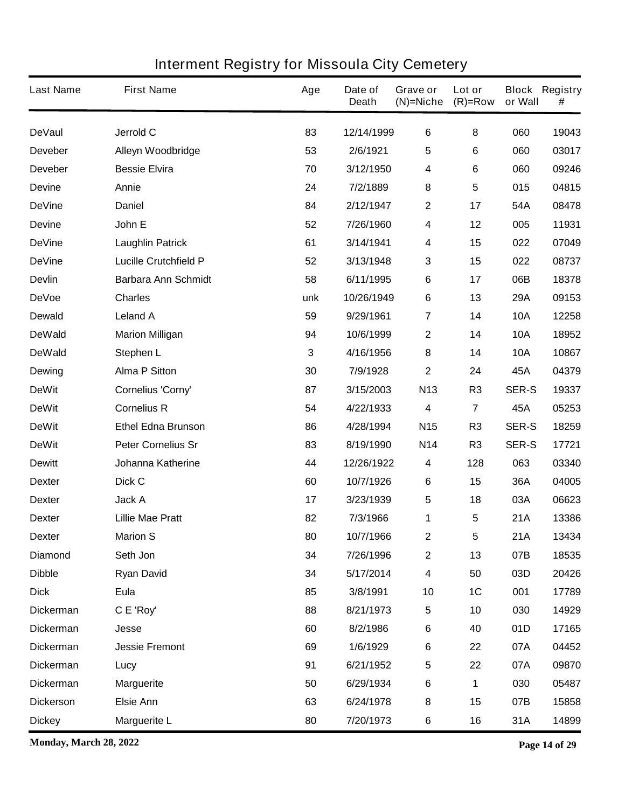| <b>Last Name</b> | <b>First Name</b>            | Age | Date of<br><b>Death</b> | Grave or<br>$(N)$ =Niche | Lot or<br>$(R)=Row$ | or Wall      | <b>Block Registry</b><br># |
|------------------|------------------------------|-----|-------------------------|--------------------------|---------------------|--------------|----------------------------|
| <b>DeVaul</b>    | Jerrold C                    | 83  | 12/14/1999              | $\bf 6$                  | 8                   | 060          | 19043                      |
| <b>Deveber</b>   | Alleyn Woodbridge            | 53  | 2/6/1921                | $\overline{\mathbf{5}}$  | 6                   | 060          | 03017                      |
| <b>Deveber</b>   | <b>Bessie Elvira</b>         | 70  | 3/12/1950               | 4                        | 6                   | 060          | 09246                      |
| <b>Devine</b>    | Annie                        | 24  | 7/2/1889                | 8                        | 5                   | 015          | 04815                      |
| <b>DeVine</b>    | <b>Daniel</b>                | 84  | 2/12/1947               | $\boldsymbol{2}$         | 17                  | 54A          | 08478                      |
| <b>Devine</b>    | John E                       | 52  | 7/26/1960               | 4                        | 12                  | 005          | 11931                      |
| <b>DeVine</b>    | <b>Laughlin Patrick</b>      | 61  | 3/14/1941               | $\boldsymbol{4}$         | 15                  | 022          | 07049                      |
| <b>DeVine</b>    | <b>Lucille Crutchfield P</b> | 52  | 3/13/1948               | 3                        | 15                  | 022          | 08737                      |
| <b>Devlin</b>    | <b>Barbara Ann Schmidt</b>   | 58  | 6/11/1995               | 6                        | 17                  | 06B          | 18378                      |
| <b>DeVoe</b>     | <b>Charles</b>               | unk | 10/26/1949              | 6                        | 13                  | 29A          | 09153                      |
| <b>Dewald</b>    | <b>Leland A</b>              | 59  | 9/29/1961               | $\overline{\mathbf{r}}$  | 14                  | <b>10A</b>   | 12258                      |
| <b>DeWald</b>    | <b>Marion Milligan</b>       | 94  | 10/6/1999               | $\boldsymbol{2}$         | 14                  | <b>10A</b>   | 18952                      |
| <b>DeWald</b>    | Stephen L                    | 3   | 4/16/1956               | 8                        | 14                  | <b>10A</b>   | 10867                      |
| <b>Dewing</b>    | <b>Alma P Sitton</b>         | 30  | 7/9/1928                | $\mathbf{2}$             | 24                  | 45A          | 04379                      |
| <b>DeWit</b>     | Cornelius 'Corny'            | 87  | 3/15/2003               | <b>N13</b>               | R <sub>3</sub>      | <b>SER-S</b> | 19337                      |
| <b>DeWit</b>     | <b>Cornelius R</b>           | 54  | 4/22/1933               | 4                        | 7                   | 45A          | 05253                      |
| <b>DeWit</b>     | <b>Ethel Edna Brunson</b>    | 86  | 4/28/1994               | <b>N15</b>               | R <sub>3</sub>      | <b>SER-S</b> | 18259                      |
| <b>DeWit</b>     | <b>Peter Cornelius Sr</b>    | 83  | 8/19/1990               | <b>N14</b>               | R <sub>3</sub>      | <b>SER-S</b> | 17721                      |
| <b>Dewitt</b>    | <b>Johanna Katherine</b>     | 44  | 12/26/1922              | 4                        | 128                 | 063          | 03340                      |
| <b>Dexter</b>    | Dick C                       | 60  | 10/7/1926               | 6                        | 15                  | 36A          | 04005                      |
| <b>Dexter</b>    | Jack A                       | 17  | 3/23/1939               | $\sqrt{5}$               | 18                  | 03A          | 06623                      |
| <b>Dexter</b>    | <b>Lillie Mae Pratt</b>      | 82  | 7/3/1966                | 1                        | 5                   | 21A          | 13386                      |
| <b>Dexter</b>    | <b>Marion S</b>              | 80  | 10/7/1966               | $\mathbf{z}$             | 5                   | 21A          | 13434                      |
| <b>Diamond</b>   | Seth Jon                     | 34  | 7/26/1996               | $\boldsymbol{2}$         | 13                  | 07B          | 18535                      |
| <b>Dibble</b>    | <b>Ryan David</b>            | 34  | 5/17/2014               | $\overline{\mathbf{4}}$  | 50                  | 03D          | 20426                      |
| <b>Dick</b>      | Eula                         | 85  | 3/8/1991                | 10                       | 1C                  | 001          | 17789                      |
| <b>Dickerman</b> | C E 'Roy'                    | 88  | 8/21/1973               | $\sqrt{5}$               | 10                  | 030          | 14929                      |
| <b>Dickerman</b> | <b>Jesse</b>                 | 60  | 8/2/1986                | $\bf 6$                  | 40                  | 01D          | 17165                      |
| <b>Dickerman</b> | <b>Jessie Fremont</b>        | 69  | 1/6/1929                | $\bf 6$                  | 22                  | 07A          | 04452                      |
| <b>Dickerman</b> | Lucy                         | 91  | 6/21/1952               | $\sqrt{5}$               | 22                  | 07A          | 09870                      |
| <b>Dickerman</b> | <b>Marguerite</b>            | 50  | 6/29/1934               | $\bf 6$                  | 1                   | 030          | 05487                      |
| <b>Dickerson</b> | <b>Elsie Ann</b>             | 63  | 6/24/1978               | 8                        | 15                  | 07B          | 15858                      |
| <b>Dickey</b>    | <b>Marguerite L</b>          | 80  | 7/20/1973               | $\bf 6$                  | 16                  | 31A          | 14899                      |

**Monday, March 28, 2022 Page 14 of 29**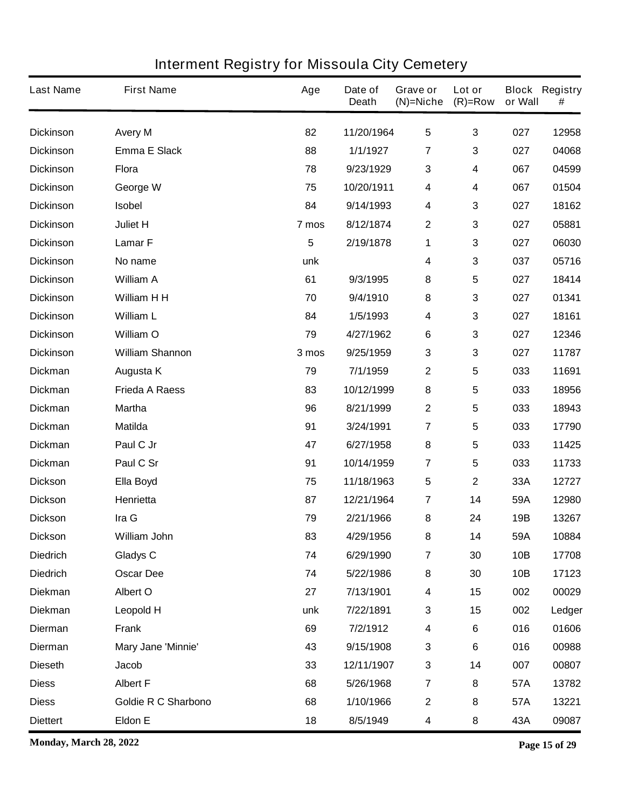| <b>Last Name</b> | <b>First Name</b>          | Age             | Date of<br><b>Death</b> | Grave or<br>$(N)$ =Niche | Lot or<br>$(R)=Row$ | or Wall | <b>Block Registry</b><br># |
|------------------|----------------------------|-----------------|-------------------------|--------------------------|---------------------|---------|----------------------------|
| <b>Dickinson</b> | <b>Avery M</b>             | 82              | 11/20/1964              | $\overline{\mathbf{5}}$  | $\mathbf{3}$        | 027     | 12958                      |
| <b>Dickinson</b> | <b>Emma E Slack</b>        | 88              | 1/1/1927                | 7                        | 3                   | 027     | 04068                      |
| <b>Dickinson</b> | <b>Flora</b>               | 78              | 9/23/1929               | $\mathbf{3}$             | 4                   | 067     | 04599                      |
| <b>Dickinson</b> | George W                   | 75              | 10/20/1911              | 4                        | 4                   | 067     | 01504                      |
| <b>Dickinson</b> | <b>Isobel</b>              | 84              | 9/14/1993               | 4                        | 3                   | 027     | 18162                      |
| <b>Dickinson</b> | Juliet H                   | 7 mos           | 8/12/1874               | $\mathbf{2}$             | 3                   | 027     | 05881                      |
| <b>Dickinson</b> | Lamar <sub>F</sub>         | $5\phantom{.0}$ | 2/19/1878               | 1                        | 3                   | 027     | 06030                      |
| <b>Dickinson</b> | No name                    | unk             |                         | 4                        | 3                   | 037     | 05716                      |
| <b>Dickinson</b> | <b>William A</b>           | 61              | 9/3/1995                | 8                        | 5                   | 027     | 18414                      |
| <b>Dickinson</b> | William H H                | 70              | 9/4/1910                | 8                        | 3                   | 027     | 01341                      |
| <b>Dickinson</b> | <b>William L</b>           | 84              | 1/5/1993                | 4                        | 3                   | 027     | 18161                      |
| <b>Dickinson</b> | <b>William O</b>           | 79              | 4/27/1962               | 6                        | 3                   | 027     | 12346                      |
| <b>Dickinson</b> | <b>William Shannon</b>     | 3 mos           | 9/25/1959               | $\mathbf{3}$             | 3                   | 027     | 11787                      |
| <b>Dickman</b>   | Augusta K                  | 79              | 7/1/1959                | $\boldsymbol{2}$         | 5                   | 033     | 11691                      |
| <b>Dickman</b>   | <b>Frieda A Raess</b>      | 83              | 10/12/1999              | $\pmb{8}$                | 5                   | 033     | 18956                      |
| <b>Dickman</b>   | <b>Martha</b>              | 96              | 8/21/1999               | $\boldsymbol{2}$         | 5                   | 033     | 18943                      |
| <b>Dickman</b>   | <b>Matilda</b>             | 91              | 3/24/1991               | 7                        | 5                   | 033     | 17790                      |
| <b>Dickman</b>   | Paul C Jr                  | 47              | 6/27/1958               | 8                        | 5                   | 033     | 11425                      |
| <b>Dickman</b>   | Paul C Sr                  | 91              | 10/14/1959              | 7                        | 5                   | 033     | 11733                      |
| <b>Dickson</b>   | Ella Boyd                  | 75              | 11/18/1963              | 5                        | $\mathbf 2$         | 33A     | 12727                      |
| <b>Dickson</b>   | Henrietta                  | 87              | 12/21/1964              | 7                        | 14                  | 59A     | 12980                      |
| <b>Dickson</b>   | Ira G                      | 79              | 2/21/1966               | 8                        | 24                  | 19B     | 13267                      |
| <b>Dickson</b>   | William John               | 83              | 4/29/1956               | 8                        | 14                  | 59A     | 10884                      |
| <b>Diedrich</b>  | <b>Gladys C</b>            | 74              | 6/29/1990               | $\overline{7}$           | 30                  | 10B     | 17708                      |
| <b>Diedrich</b>  | <b>Oscar Dee</b>           | 74              | 5/22/1986               | ${\bf 8}$                | 30                  | 10B     | 17123                      |
| <b>Diekman</b>   | <b>Albert O</b>            | 27              | 7/13/1901               | $\boldsymbol{4}$         | 15                  | 002     | 00029                      |
| <b>Diekman</b>   | Leopold H                  | unk             | 7/22/1891               | $\mathbf 3$              | 15                  | 002     | Ledger                     |
| <b>Dierman</b>   | <b>Frank</b>               | 69              | 7/2/1912                | $\boldsymbol{4}$         | 6                   | 016     | 01606                      |
| <b>Dierman</b>   | Mary Jane 'Minnie'         | 43              | 9/15/1908               | $\mathbf 3$              | 6                   | 016     | 00988                      |
| <b>Dieseth</b>   | <b>Jacob</b>               | 33              | 12/11/1907              | $\mathbf 3$              | 14                  | 007     | 00807                      |
| <b>Diess</b>     | <b>Albert F</b>            | 68              | 5/26/1968               | $\overline{7}$           | 8                   | 57A     | 13782                      |
| <b>Diess</b>     | <b>Goldie R C Sharbono</b> | 68              | 1/10/1966               | $\mathbf{2}$             | 8                   | 57A     | 13221                      |
| <b>Diettert</b>  | <b>Eldon E</b>             | 18              | 8/5/1949                | $\overline{\mathbf{4}}$  | 8                   | 43A     | 09087                      |

**Monday, March 28, 2022 Page 15 of 29**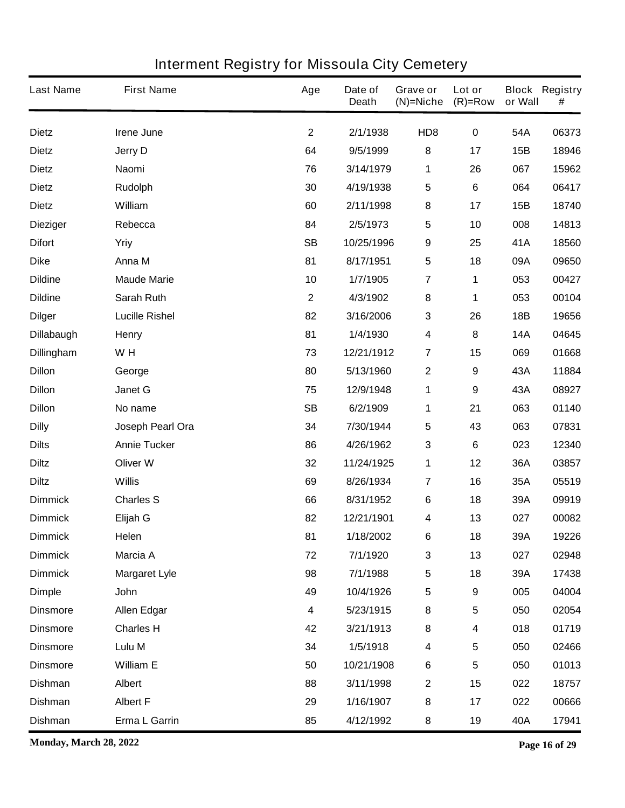| <b>Last Name</b>  | <b>First Name</b>     | Age                     | Date of<br><b>Death</b> | Grave or<br>$(N)$ =Niche | Lot or<br>$(R)=Row$ | or Wall    | <b>Block Registry</b><br># |
|-------------------|-----------------------|-------------------------|-------------------------|--------------------------|---------------------|------------|----------------------------|
| <b>Dietz</b>      | Irene June            | $\mathbf{2}$            | 2/1/1938                | HD <sub>8</sub>          | $\pmb{0}$           | 54A        | 06373                      |
| <b>Dietz</b>      | <b>Jerry D</b>        | 64                      | 9/5/1999                | ${\bf 8}$                | 17                  | 15B        | 18946                      |
| <b>Dietz</b>      | Naomi                 | 76                      | 3/14/1979               | 1                        | 26                  | 067        | 15962                      |
| <b>Dietz</b>      | <b>Rudolph</b>        | 30                      | 4/19/1938               | 5                        | 6                   | 064        | 06417                      |
| <b>Dietz</b>      | William               | 60                      | 2/11/1998               | ${\bf 8}$                | 17                  | 15B        | 18740                      |
| <b>Dieziger</b>   | Rebecca               | 84                      | 2/5/1973                | $\overline{\mathbf{5}}$  | 10                  | 008        | 14813                      |
| <b>Difort</b>     | Yriy                  | <b>SB</b>               | 10/25/1996              | $\boldsymbol{9}$         | 25                  | 41A        | 18560                      |
| <b>Dike</b>       | Anna M                | 81                      | 8/17/1951               | $\overline{\mathbf{5}}$  | 18                  | 09A        | 09650                      |
| <b>Dildine</b>    | <b>Maude Marie</b>    | 10                      | 1/7/1905                | $\overline{\mathbf{7}}$  | 1                   | 053        | 00427                      |
| <b>Dildine</b>    | Sarah Ruth            | $\mathbf{2}$            | 4/3/1902                | 8                        | 1                   | 053        | 00104                      |
| <b>Dilger</b>     | <b>Lucille Rishel</b> | 82                      | 3/16/2006               | $\mathbf 3$              | 26                  | 18B        | 19656                      |
| <b>Dillabaugh</b> | <b>Henry</b>          | 81                      | 1/4/1930                | 4                        | 8                   | <b>14A</b> | 04645                      |
| <b>Dillingham</b> | WH                    | 73                      | 12/21/1912              | $\overline{7}$           | 15                  | 069        | 01668                      |
| <b>Dillon</b>     | George                | 80                      | 5/13/1960               | $\mathbf 2$              | 9                   | 43A        | 11884                      |
| <b>Dillon</b>     | <b>Janet G</b>        | 75                      | 12/9/1948               | 1                        | 9                   | 43A        | 08927                      |
| <b>Dillon</b>     | No name               | <b>SB</b>               | 6/2/1909                | 1                        | 21                  | 063        | 01140                      |
| <b>Dilly</b>      | Joseph Pearl Ora      | 34                      | 7/30/1944               | 5                        | 43                  | 063        | 07831                      |
| <b>Dilts</b>      | <b>Annie Tucker</b>   | 86                      | 4/26/1962               | $\mathbf 3$              | 6                   | 023        | 12340                      |
| <b>Diltz</b>      | <b>Oliver W</b>       | 32                      | 11/24/1925              | 1                        | 12                  | 36A        | 03857                      |
| <b>Diltz</b>      | <b>Willis</b>         | 69                      | 8/26/1934               | 7                        | 16                  | 35A        | 05519                      |
| <b>Dimmick</b>    | <b>Charles S</b>      | 66                      | 8/31/1952               | 6                        | 18                  | 39A        | 09919                      |
| <b>Dimmick</b>    | Elijah G              | 82                      | 12/21/1901              | 4                        | 13                  | 027        | 00082                      |
| <b>Dimmick</b>    | Helen                 | 81                      | 1/18/2002               | 6                        | 18                  | 39A        | 19226                      |
| <b>Dimmick</b>    | Marcia A              | 72                      | 7/1/1920                | 3                        | 13                  | 027        | 02948                      |
| <b>Dimmick</b>    | <b>Margaret Lyle</b>  | 98                      | 7/1/1988                | $\overline{\mathbf{5}}$  | 18                  | 39A        | 17438                      |
| <b>Dimple</b>     | John                  | 49                      | 10/4/1926               | 5                        | 9                   | 005        | 04004                      |
| <b>Dinsmore</b>   | <b>Allen Edgar</b>    | $\overline{\mathbf{4}}$ | 5/23/1915               | 8                        | 5                   | 050        | 02054                      |
| <b>Dinsmore</b>   | <b>Charles H</b>      | 42                      | 3/21/1913               | 8                        | 4                   | 018        | 01719                      |
| <b>Dinsmore</b>   | Lulu M                | 34                      | 1/5/1918                | $\overline{\mathbf{4}}$  | 5                   | 050        | 02466                      |
| <b>Dinsmore</b>   | <b>William E</b>      | 50                      | 10/21/1908              | $\bf 6$                  | 5                   | 050        | 01013                      |
| <b>Dishman</b>    | <b>Albert</b>         | 88                      | 3/11/1998               | $\mathbf 2$              | 15                  | 022        | 18757                      |
| <b>Dishman</b>    | <b>Albert F</b>       | 29                      | 1/16/1907               | 8                        | 17                  | 022        | 00666                      |
| <b>Dishman</b>    | Erma L Garrin         | 85                      | 4/12/1992               | 8                        | 19                  | 40A        | 17941                      |

**Monday, March 28, 2022 Page 16 of 29**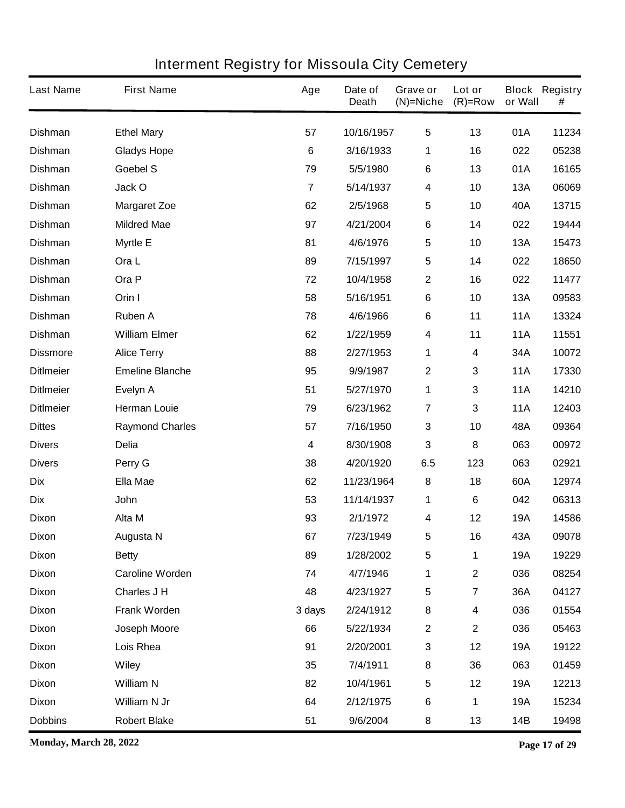| <b>Last Name</b> | <b>First Name</b>      | Age            | Date of<br><b>Death</b> | Grave or<br>$(N)$ =Niche | Lot or<br>$(R)=Row$     | or Wall    | <b>Block Registry</b><br># |
|------------------|------------------------|----------------|-------------------------|--------------------------|-------------------------|------------|----------------------------|
| <b>Dishman</b>   | <b>Ethel Mary</b>      | 57             | 10/16/1957              | $\overline{\mathbf{5}}$  | 13                      | 01A        | 11234                      |
| <b>Dishman</b>   | <b>Gladys Hope</b>     | $6\phantom{1}$ | 3/16/1933               | 1                        | 16                      | 022        | 05238                      |
| <b>Dishman</b>   | Goebel S               | 79             | 5/5/1980                | $\bf 6$                  | 13                      | 01A        | 16165                      |
| <b>Dishman</b>   | Jack O                 | $\overline{7}$ | 5/14/1937               | $\boldsymbol{4}$         | 10                      | <b>13A</b> | 06069                      |
| <b>Dishman</b>   | <b>Margaret Zoe</b>    | 62             | 2/5/1968                | $\overline{\mathbf{5}}$  | 10                      | 40A        | 13715                      |
| <b>Dishman</b>   | <b>Mildred Mae</b>     | 97             | 4/21/2004               | 6                        | 14                      | 022        | 19444                      |
| <b>Dishman</b>   | <b>Myrtle E</b>        | 81             | 4/6/1976                | $\overline{\mathbf{5}}$  | 10                      | <b>13A</b> | 15473                      |
| <b>Dishman</b>   | Ora L                  | 89             | 7/15/1997               | $\sqrt{5}$               | 14                      | 022        | 18650                      |
| <b>Dishman</b>   | Ora P                  | 72             | 10/4/1958               | $\boldsymbol{2}$         | 16                      | 022        | 11477                      |
| <b>Dishman</b>   | Orin I                 | 58             | 5/16/1951               | 6                        | 10                      | <b>13A</b> | 09583                      |
| <b>Dishman</b>   | <b>Ruben A</b>         | 78             | 4/6/1966                | $\bf 6$                  | 11                      | <b>11A</b> | 13324                      |
| <b>Dishman</b>   | <b>William Elmer</b>   | 62             | 1/22/1959               | $\boldsymbol{4}$         | 11                      | <b>11A</b> | 11551                      |
| <b>Dissmore</b>  | <b>Alice Terry</b>     | 88             | 2/27/1953               | 1                        | 4                       | 34A        | 10072                      |
| <b>DitImeier</b> | <b>Emeline Blanche</b> | 95             | 9/9/1987                | $\boldsymbol{2}$         | 3                       | <b>11A</b> | 17330                      |
| <b>DitImeier</b> | Evelyn A               | 51             | 5/27/1970               | 1                        | 3                       | <b>11A</b> | 14210                      |
| <b>DitImeier</b> | <b>Herman Louie</b>    | 79             | 6/23/1962               | 7                        | 3                       | <b>11A</b> | 12403                      |
| <b>Dittes</b>    | <b>Raymond Charles</b> | 57             | 7/16/1950               | $\mathbf{3}$             | 10                      | 48A        | 09364                      |
| <b>Divers</b>    | <b>Delia</b>           | 4              | 8/30/1908               | $\mathbf{3}$             | 8                       | 063        | 00972                      |
| <b>Divers</b>    | Perry G                | 38             | 4/20/1920               | 6.5                      | 123                     | 063        | 02921                      |
| <b>Dix</b>       | <b>Ella Mae</b>        | 62             | 11/23/1964              | 8                        | 18                      | 60A        | 12974                      |
| <b>Dix</b>       | <b>John</b>            | 53             | 11/14/1937              | 1                        | 6                       | 042        | 06313                      |
| <b>Dixon</b>     | Alta M                 | 93             | 2/1/1972                | 4                        | 12                      | <b>19A</b> | 14586                      |
| <b>Dixon</b>     | <b>Augusta N</b>       | 67             | 7/23/1949               | 5                        | 16                      | 43A        | 09078                      |
| <b>Dixon</b>     | <b>Betty</b>           | 89             | 1/28/2002               | $\sqrt{5}$               | 1                       | <b>19A</b> | 19229                      |
| <b>Dixon</b>     | <b>Caroline Worden</b> | 74             | 4/7/1946                | 1                        | $\mathbf 2$             | 036        | 08254                      |
| <b>Dixon</b>     | Charles J H            | 48             | 4/23/1927               | $\sqrt{5}$               | $\overline{\mathbf{7}}$ | 36A        | 04127                      |
| <b>Dixon</b>     | Frank Worden           | 3 days         | 2/24/1912               | ${\bf 8}$                | 4                       | 036        | 01554                      |
| <b>Dixon</b>     | Joseph Moore           | 66             | 5/22/1934               | $\mathbf{2}$             | $\mathbf 2$             | 036        | 05463                      |
| <b>Dixon</b>     | Lois Rhea              | 91             | 2/20/2001               | $\mathbf{3}$             | 12                      | <b>19A</b> | 19122                      |
| <b>Dixon</b>     | <b>Wiley</b>           | 35             | 7/4/1911                | 8                        | 36                      | 063        | 01459                      |
| <b>Dixon</b>     | <b>William N</b>       | 82             | 10/4/1961               | $\sqrt{5}$               | 12                      | <b>19A</b> | 12213                      |
| <b>Dixon</b>     | William N Jr           | 64             | 2/12/1975               | $\bf 6$                  | 1                       | <b>19A</b> | 15234                      |
| <b>Dobbins</b>   | <b>Robert Blake</b>    | 51             | 9/6/2004                | 8                        | 13                      | 14B        | 19498                      |

**Monday, March 28, 2022 Page 17 of 29**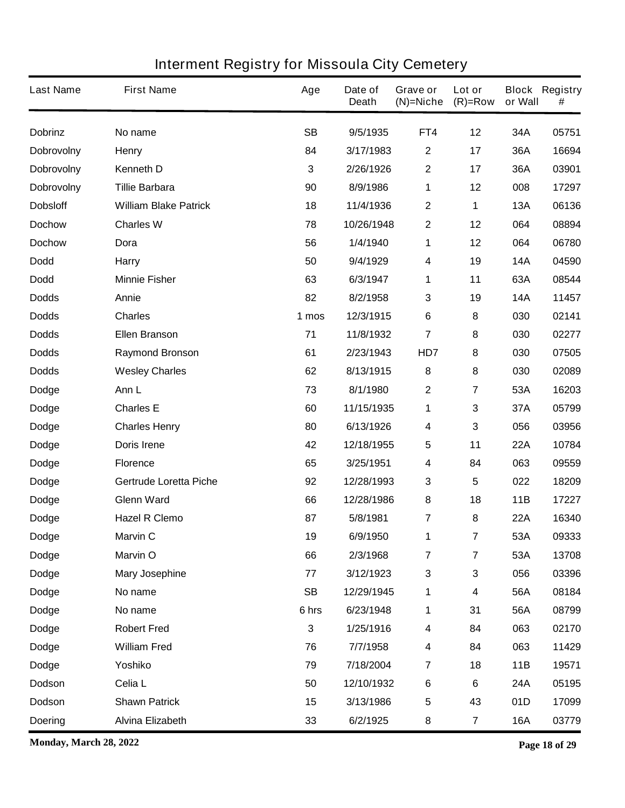| <b>Last Name</b>  | <b>First Name</b>             | Age       | Date of<br><b>Death</b> | Grave or<br>$(N)$ =Niche | Lot or<br>$(R)=Row$     | or Wall    | <b>Block Registry</b><br># |
|-------------------|-------------------------------|-----------|-------------------------|--------------------------|-------------------------|------------|----------------------------|
| <b>Dobrinz</b>    | No name                       | <b>SB</b> | 9/5/1935                | FT4                      | 12                      | 34A        | 05751                      |
| Dobrovolny        | <b>Henry</b>                  | 84        | 3/17/1983               | $\boldsymbol{2}$         | 17                      | 36A        | 16694                      |
| <b>Dobrovolny</b> | <b>Kenneth D</b>              | 3         | 2/26/1926               | $\boldsymbol{2}$         | 17                      | 36A        | 03901                      |
| <b>Dobrovolny</b> | <b>Tillie Barbara</b>         | 90        | 8/9/1986                | 1                        | 12                      | 008        | 17297                      |
| <b>Dobsloff</b>   | <b>William Blake Patrick</b>  | 18        | 11/4/1936               | $\boldsymbol{2}$         | 1                       | <b>13A</b> | 06136                      |
| <b>Dochow</b>     | <b>Charles W</b>              | 78        | 10/26/1948              | $\boldsymbol{2}$         | 12                      | 064        | 08894                      |
| <b>Dochow</b>     | Dora                          | 56        | 1/4/1940                | 1                        | 12                      | 064        | 06780                      |
| <b>Dodd</b>       | <b>Harry</b>                  | 50        | 9/4/1929                | 4                        | 19                      | <b>14A</b> | 04590                      |
| <b>Dodd</b>       | <b>Minnie Fisher</b>          | 63        | 6/3/1947                | 1                        | 11                      | 63A        | 08544                      |
| <b>Dodds</b>      | Annie                         | 82        | 8/2/1958                | $\mathbf{3}$             | 19                      | <b>14A</b> | 11457                      |
| <b>Dodds</b>      | <b>Charles</b>                | 1 mos     | 12/3/1915               | 6                        | 8                       | 030        | 02141                      |
| <b>Dodds</b>      | <b>Ellen Branson</b>          | 71        | 11/8/1932               | $\overline{7}$           | 8                       | 030        | 02277                      |
| <b>Dodds</b>      | <b>Raymond Bronson</b>        | 61        | 2/23/1943               | HD7                      | 8                       | 030        | 07505                      |
| <b>Dodds</b>      | <b>Wesley Charles</b>         | 62        | 8/13/1915               | 8                        | 8                       | 030        | 02089                      |
| <b>Dodge</b>      | Ann L                         | 73        | 8/1/1980                | $\boldsymbol{2}$         | 7                       | 53A        | 16203                      |
| <b>Dodge</b>      | <b>Charles E</b>              | 60        | 11/15/1935              | 1                        | 3                       | 37A        | 05799                      |
| <b>Dodge</b>      | <b>Charles Henry</b>          | 80        | 6/13/1926               | 4                        | 3                       | 056        | 03956                      |
| <b>Dodge</b>      | <b>Doris Irene</b>            | 42        | 12/18/1955              | $\overline{\mathbf{5}}$  | 11                      | 22A        | 10784                      |
| <b>Dodge</b>      | <b>Florence</b>               | 65        | 3/25/1951               | 4                        | 84                      | 063        | 09559                      |
| <b>Dodge</b>      | <b>Gertrude Loretta Piche</b> | 92        | 12/28/1993              | $\mathbf 3$              | 5                       | 022        | 18209                      |
| <b>Dodge</b>      | <b>Glenn Ward</b>             | 66        | 12/28/1986              | 8                        | 18                      | 11B        | 17227                      |
| Dodge             | <b>Hazel R Clemo</b>          | 87        | 5/8/1981                | 7                        | 8                       | <b>22A</b> | 16340                      |
| <b>Dodge</b>      | <b>Marvin C</b>               | 19        | 6/9/1950                | 1                        | 7                       | 53A        | 09333                      |
| <b>Dodge</b>      | <b>Marvin O</b>               | 66        | 2/3/1968                | $\overline{\mathbf{7}}$  | $\overline{\mathbf{7}}$ | 53A        | 13708                      |
| Dodge             | <b>Mary Josephine</b>         | 77        | 3/12/1923               | $\mathbf 3$              | 3                       | 056        | 03396                      |
| Dodge             | No name                       | <b>SB</b> | 12/29/1945              | 1                        | 4                       | 56A        | 08184                      |
| Dodge             | No name                       | 6 hrs     | 6/23/1948               | 1                        | 31                      | 56A        | 08799                      |
| <b>Dodge</b>      | <b>Robert Fred</b>            | 3         | 1/25/1916               | 4                        | 84                      | 063        | 02170                      |
| Dodge             | <b>William Fred</b>           | 76        | 7/7/1958                | 4                        | 84                      | 063        | 11429                      |
| Dodge             | Yoshiko                       | 79        | 7/18/2004               | $\overline{7}$           | 18                      | 11B        | 19571                      |
| Dodson            | Celia L                       | 50        | 12/10/1932              | $\bf 6$                  | 6                       | 24A        | 05195                      |
| Dodson            | <b>Shawn Patrick</b>          | 15        | 3/13/1986               | $\sqrt{5}$               | 43                      | 01D        | 17099                      |
| <b>Doering</b>    | <b>Alvina Elizabeth</b>       | 33        | 6/2/1925                | 8                        | $\overline{\mathbf{7}}$ | <b>16A</b> | 03779                      |

**Monday, March 28, 2022 Page 18 of 29**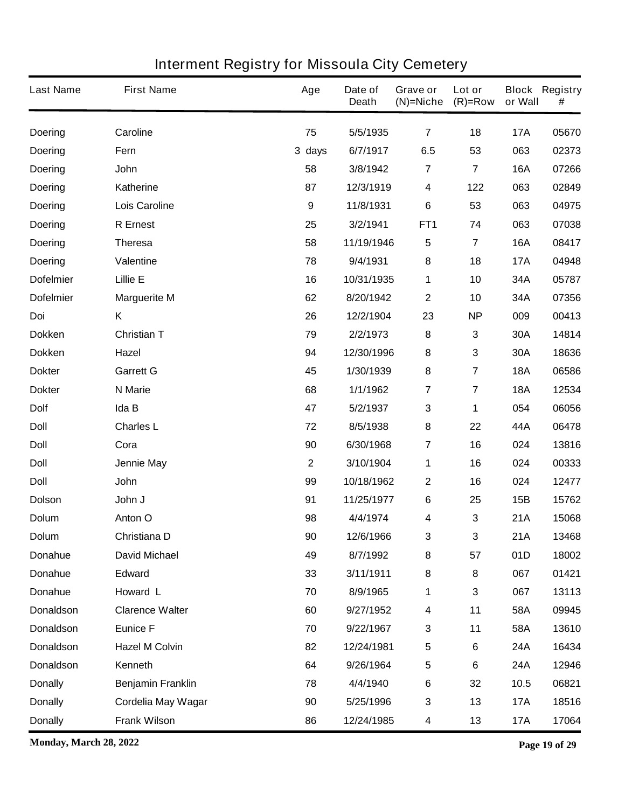| <b>Last Name</b> | <b>First Name</b>        | Age              | Date of<br><b>Death</b> | Grave or<br>$(N)$ =Niche | Lot or<br>$(R)=Row$     | or Wall    | <b>Block Registry</b><br># |
|------------------|--------------------------|------------------|-------------------------|--------------------------|-------------------------|------------|----------------------------|
| <b>Doering</b>   | Caroline                 | 75               | 5/5/1935                | $\overline{\mathbf{r}}$  | 18                      | <b>17A</b> | 05670                      |
| <b>Doering</b>   | Fern                     | 3 days           | 6/7/1917                | 6.5                      | 53                      | 063        | 02373                      |
| <b>Doering</b>   | John                     | 58               | 3/8/1942                | $\overline{7}$           | $\overline{7}$          | <b>16A</b> | 07266                      |
| <b>Doering</b>   | <b>Katherine</b>         | 87               | 12/3/1919               | $\overline{\mathbf{4}}$  | 122                     | 063        | 02849                      |
| <b>Doering</b>   | <b>Lois Caroline</b>     | $\boldsymbol{9}$ | 11/8/1931               | 6                        | 53                      | 063        | 04975                      |
| <b>Doering</b>   | <b>R</b> Ernest          | 25               | 3/2/1941                | FT <sub>1</sub>          | 74                      | 063        | 07038                      |
| <b>Doering</b>   | <b>Theresa</b>           | 58               | 11/19/1946              | $\sqrt{5}$               | $\overline{\mathbf{7}}$ | <b>16A</b> | 08417                      |
| <b>Doering</b>   | <b>Valentine</b>         | 78               | 9/4/1931                | 8                        | 18                      | <b>17A</b> | 04948                      |
| <b>Dofelmier</b> | <b>Lillie E</b>          | 16               | 10/31/1935              | 1                        | 10                      | 34A        | 05787                      |
| <b>Dofelmier</b> | <b>Marguerite M</b>      | 62               | 8/20/1942               | $\mathbf 2$              | 10                      | 34A        | 07356                      |
| Doi              | Κ                        | 26               | 12/2/1904               | 23                       | <b>NP</b>               | 009        | 00413                      |
| <b>Dokken</b>    | <b>Christian T</b>       | 79               | 2/2/1973                | 8                        | 3                       | 30A        | 14814                      |
| <b>Dokken</b>    | <b>Hazel</b>             | 94               | 12/30/1996              | 8                        | 3                       | 30A        | 18636                      |
| <b>Dokter</b>    | <b>Garrett G</b>         | 45               | 1/30/1939               | 8                        | $\overline{\mathbf{7}}$ | <b>18A</b> | 06586                      |
| <b>Dokter</b>    | N Marie                  | 68               | 1/1/1962                | $\overline{7}$           | $\overline{\mathbf{7}}$ | <b>18A</b> | 12534                      |
| <b>Dolf</b>      | Ida B                    | 47               | 5/2/1937                | $\mathbf{3}$             | 1                       | 054        | 06056                      |
| <b>Doll</b>      | <b>Charles L</b>         | 72               | 8/5/1938                | ${\bf 8}$                | 22                      | 44A        | 06478                      |
| <b>Doll</b>      | Cora                     | 90               | 6/30/1968               | $\overline{7}$           | 16                      | 024        | 13816                      |
| <b>Doll</b>      | <b>Jennie May</b>        | $\overline{2}$   | 3/10/1904               | 1                        | 16                      | 024        | 00333                      |
| <b>Doll</b>      | John                     | 99               | 10/18/1962              | $\boldsymbol{2}$         | 16                      | 024        | 12477                      |
| <b>Dolson</b>    | John J                   | 91               | 11/25/1977              | 6                        | 25                      | 15B        | 15762                      |
| <b>Dolum</b>     | Anton O                  | 98               | 4/4/1974                | 4                        | 3                       | 21A        | 15068                      |
| <b>Dolum</b>     | Christiana D             | 90               | 12/6/1966               | 3                        | 3                       | 21A        | 13468                      |
| Donahue          | <b>David Michael</b>     | 49               | 8/7/1992                | 8                        | 57                      | 01D        | 18002                      |
| Donahue          | <b>Edward</b>            | 33               | 3/11/1911               | ${\bf 8}$                | 8                       | 067        | 01421                      |
| <b>Donahue</b>   | Howard L                 | 70               | 8/9/1965                | 1                        | 3                       | 067        | 13113                      |
| <b>Donaldson</b> | <b>Clarence Walter</b>   | 60               | 9/27/1952               | $\overline{\mathbf{4}}$  | 11                      | 58A        | 09945                      |
| <b>Donaldson</b> | <b>Eunice F</b>          | 70               | 9/22/1967               | $\mathbf 3$              | 11                      | 58A        | 13610                      |
| <b>Donaldson</b> | <b>Hazel M Colvin</b>    | 82               | 12/24/1981              | $\sqrt{5}$               | 6                       | <b>24A</b> | 16434                      |
| <b>Donaldson</b> | Kenneth                  | 64               | 9/26/1964               | $\sqrt{5}$               | 6                       | <b>24A</b> | 12946                      |
| <b>Donally</b>   | <b>Benjamin Franklin</b> | 78               | 4/4/1940                | $\bf 6$                  | 32                      | 10.5       | 06821                      |
| <b>Donally</b>   | Cordelia May Wagar       | 90               | 5/25/1996               | $\mathbf{3}$             | 13                      | <b>17A</b> | 18516                      |
| <b>Donally</b>   | <b>Frank Wilson</b>      | 86               | 12/24/1985              | $\overline{\mathbf{4}}$  | 13                      | <b>17A</b> | 17064                      |

**Monday, March 28, 2022 Page 19 of 29**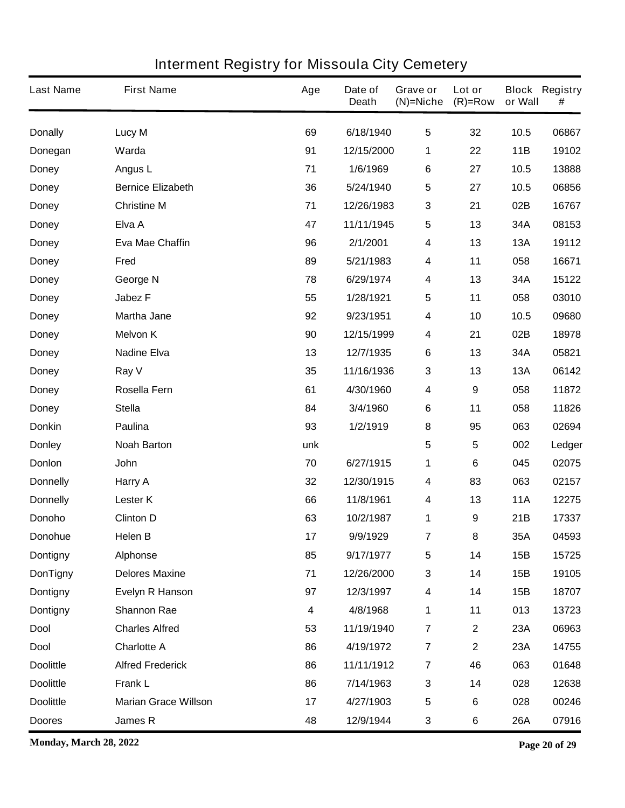| <b>Last Name</b> | <b>First Name</b>           | Age                     | Date of<br><b>Death</b> | Grave or<br>$(N)$ =Niche | Lot or<br>$(R)=Row$ | or Wall    | <b>Block Registry</b><br># |
|------------------|-----------------------------|-------------------------|-------------------------|--------------------------|---------------------|------------|----------------------------|
| <b>Donally</b>   | <b>Lucy M</b>               | 69                      | 6/18/1940               | $\overline{\mathbf{5}}$  | 32                  | 10.5       | 06867                      |
| Donegan          | Warda                       | 91                      | 12/15/2000              | 1                        | 22                  | 11B        | 19102                      |
| <b>Doney</b>     | Angus L                     | 71                      | 1/6/1969                | 6                        | 27                  | 10.5       | 13888                      |
| <b>Doney</b>     | <b>Bernice Elizabeth</b>    | 36                      | 5/24/1940               | $\sqrt{5}$               | 27                  | 10.5       | 06856                      |
| <b>Doney</b>     | <b>Christine M</b>          | 71                      | 12/26/1983              | $\mathbf{3}$             | 21                  | 02B        | 16767                      |
| <b>Doney</b>     | Elva A                      | 47                      | 11/11/1945              | $\sqrt{5}$               | 13                  | 34A        | 08153                      |
| <b>Doney</b>     | <b>Eva Mae Chaffin</b>      | 96                      | 2/1/2001                | $\boldsymbol{4}$         | 13                  | <b>13A</b> | 19112                      |
| <b>Doney</b>     | Fred                        | 89                      | 5/21/1983               | 4                        | 11                  | 058        | 16671                      |
| <b>Doney</b>     | George N                    | 78                      | 6/29/1974               | $\boldsymbol{4}$         | 13                  | 34A        | 15122                      |
| <b>Doney</b>     | <b>Jabez F</b>              | 55                      | 1/28/1921               | $\overline{\mathbf{5}}$  | 11                  | 058        | 03010                      |
| <b>Doney</b>     | <b>Martha Jane</b>          | 92                      | 9/23/1951               | $\boldsymbol{4}$         | 10                  | 10.5       | 09680                      |
| <b>Doney</b>     | <b>Melvon K</b>             | 90                      | 12/15/1999              | $\boldsymbol{4}$         | 21                  | 02B        | 18978                      |
| <b>Doney</b>     | <b>Nadine Elva</b>          | 13                      | 12/7/1935               | 6                        | 13                  | 34A        | 05821                      |
| <b>Doney</b>     | Ray V                       | 35                      | 11/16/1936              | $\mathbf{3}$             | 13                  | <b>13A</b> | 06142                      |
| <b>Doney</b>     | Rosella Fern                | 61                      | 4/30/1960               | 4                        | 9                   | 058        | 11872                      |
| <b>Doney</b>     | <b>Stella</b>               | 84                      | 3/4/1960                | 6                        | 11                  | 058        | 11826                      |
| <b>Donkin</b>    | Paulina                     | 93                      | 1/2/1919                | 8                        | 95                  | 063        | 02694                      |
| <b>Donley</b>    | <b>Noah Barton</b>          | unk                     |                         | 5                        | 5                   | 002        | Ledger                     |
| <b>Donlon</b>    | <b>John</b>                 | 70                      | 6/27/1915               | 1                        | 6                   | 045        | 02075                      |
| <b>Donnelly</b>  | Harry A                     | 32                      | 12/30/1915              | 4                        | 83                  | 063        | 02157                      |
| <b>Donnelly</b>  | <b>Lester K</b>             | 66                      | 11/8/1961               | 4                        | 13                  | <b>11A</b> | 12275                      |
| Donoho           | <b>Clinton D</b>            | 63                      | 10/2/1987               | 1                        | 9                   | 21B        | 17337                      |
| Donohue          | Helen B                     | 17                      | 9/9/1929                | 7                        | 8                   | 35A        | 04593                      |
| <b>Dontigny</b>  | Alphonse                    | 85                      | 9/17/1977               | $\sqrt{5}$               | 14                  | 15B        | 15725                      |
| <b>DonTigny</b>  | <b>Delores Maxine</b>       | 71                      | 12/26/2000              | $\mathbf 3$              | 14                  | 15B        | 19105                      |
| <b>Dontigny</b>  | Evelyn R Hanson             | 97                      | 12/3/1997               | $\boldsymbol{4}$         | 14                  | 15B        | 18707                      |
| <b>Dontigny</b>  | <b>Shannon Rae</b>          | $\overline{\mathbf{4}}$ | 4/8/1968                | 1                        | 11                  | 013        | 13723                      |
| <b>Dool</b>      | <b>Charles Alfred</b>       | 53                      | 11/19/1940              | $\overline{7}$           | $\mathbf 2$         | 23A        | 06963                      |
| <b>Dool</b>      | <b>Charlotte A</b>          | 86                      | 4/19/1972               | $\overline{7}$           | $\mathbf 2$         | 23A        | 14755                      |
| <b>Doolittle</b> | <b>Alfred Frederick</b>     | 86                      | 11/11/1912              | $\overline{\mathbf{r}}$  | 46                  | 063        | 01648                      |
| <b>Doolittle</b> | <b>Frank L</b>              | 86                      | 7/14/1963               | $\mathbf 3$              | 14                  | 028        | 12638                      |
| <b>Doolittle</b> | <b>Marian Grace Willson</b> | 17                      | 4/27/1903               | $\sqrt{5}$               | 6                   | 028        | 00246                      |
| <b>Doores</b>    | James R                     | 48                      | 12/9/1944               | $\mathbf{3}$             | 6                   | 26A        | 07916                      |

**Monday, March 28, 2022 Page 20 of 29**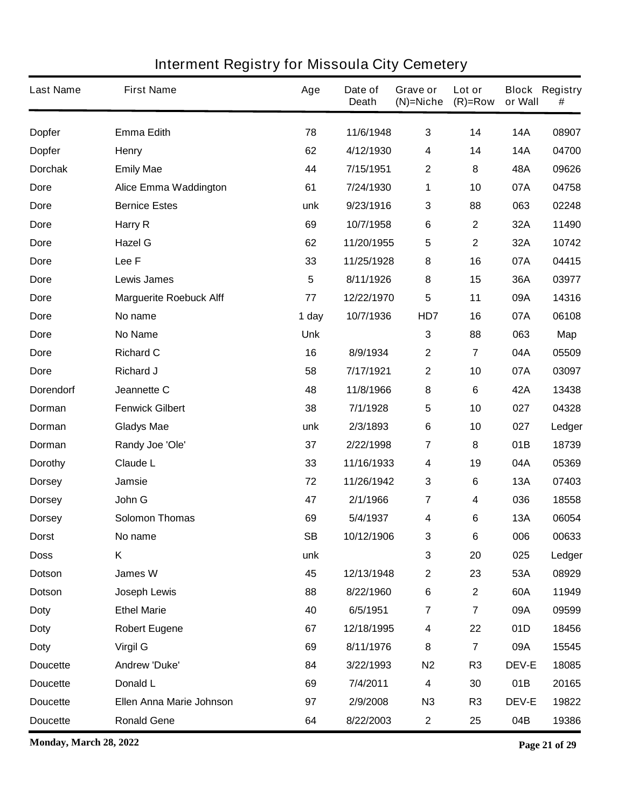| <b>Last Name</b> | <b>First Name</b>              | Age        | Date of<br><b>Death</b> | Grave or<br>$(N)$ =Niche | Lot or<br>$(R)=Row$ | or Wall      | <b>Block Registry</b><br># |
|------------------|--------------------------------|------------|-------------------------|--------------------------|---------------------|--------------|----------------------------|
| <b>Dopfer</b>    | <b>Emma Edith</b>              | 78         | 11/6/1948               | 3                        | 14                  | <b>14A</b>   | 08907                      |
| <b>Dopfer</b>    | <b>Henry</b>                   | 62         | 4/12/1930               | 4                        | 14                  | <b>14A</b>   | 04700                      |
| <b>Dorchak</b>   | <b>Emily Mae</b>               | 44         | 7/15/1951               | $\mathbf 2$              | 8                   | 48A          | 09626                      |
| <b>Dore</b>      | <b>Alice Emma Waddington</b>   | 61         | 7/24/1930               | 1                        | 10                  | 07A          | 04758                      |
| Dore             | <b>Bernice Estes</b>           | unk        | 9/23/1916               | 3                        | 88                  | 063          | 02248                      |
| Dore             | Harry R                        | 69         | 10/7/1958               | $\bf 6$                  | $\mathbf 2$         | 32A          | 11490                      |
| Dore             | <b>Hazel G</b>                 | 62         | 11/20/1955              | 5                        | $\mathbf 2$         | 32A          | 10742                      |
| Dore             | Lee F                          | 33         | 11/25/1928              | 8                        | 16                  | 07A          | 04415                      |
| Dore             | <b>Lewis James</b>             | 5          | 8/11/1926               | 8                        | 15                  | 36A          | 03977                      |
| Dore             | <b>Marguerite Roebuck Alff</b> | 77         | 12/22/1970              | 5                        | 11                  | 09A          | 14316                      |
| Dore             | No name                        | 1 day      | 10/7/1936               | HD7                      | 16                  | 07A          | 06108                      |
| Dore             | <b>No Name</b>                 | <b>Unk</b> |                         | $\mathbf{3}$             | 88                  | 063          | Map                        |
| Dore             | <b>Richard C</b>               | 16         | 8/9/1934                | $\mathbf 2$              | 7                   | 04A          | 05509                      |
| Dore             | <b>Richard J</b>               | 58         | 7/17/1921               | $\mathbf 2$              | 10                  | 07A          | 03097                      |
| <b>Dorendorf</b> | Jeannette C                    | 48         | 11/8/1966               | 8                        | 6                   | 42A          | 13438                      |
| Dorman           | <b>Fenwick Gilbert</b>         | 38         | 7/1/1928                | 5                        | 10                  | 027          | 04328                      |
| Dorman           | <b>Gladys Mae</b>              | unk        | 2/3/1893                | $\bf 6$                  | 10                  | 027          | Ledger                     |
| Dorman           | Randy Joe 'Ole'                | 37         | 2/22/1998               | 7                        | 8                   | 01B          | 18739                      |
| <b>Dorothy</b>   | <b>Claude L</b>                | 33         | 11/16/1933              | 4                        | 19                  | 04A          | 05369                      |
| <b>Dorsey</b>    | Jamsie                         | 72         | 11/26/1942              | 3                        | 6                   | <b>13A</b>   | 07403                      |
| <b>Dorsey</b>    | John G                         | 47         | 2/1/1966                | $\overline{\mathbf{7}}$  | 4                   | 036          | 18558                      |
| <b>Dorsey</b>    | <b>Solomon Thomas</b>          | 69         | 5/4/1937                | 4                        | 6                   | <b>13A</b>   | 06054                      |
| <b>Dorst</b>     | No name                        | SB         | 10/12/1906              | 3                        | 6                   | 006          | 00633                      |
| <b>Doss</b>      | K                              | unk        |                         | 3                        | 20                  | 025          | Ledger                     |
| <b>Dotson</b>    | James W                        | 45         | 12/13/1948              | $\boldsymbol{2}$         | 23                  | 53A          | 08929                      |
| Dotson           | Joseph Lewis                   | 88         | 8/22/1960               | $\bf 6$                  | $\mathbf 2$         | 60A          | 11949                      |
| <b>Doty</b>      | <b>Ethel Marie</b>             | 40         | 6/5/1951                | $\overline{7}$           | 7                   | 09A          | 09599                      |
| <b>Doty</b>      | <b>Robert Eugene</b>           | 67         | 12/18/1995              | 4                        | 22                  | 01D          | 18456                      |
| <b>Doty</b>      | <b>Virgil G</b>                | 69         | 8/11/1976               | 8                        | $\overline{7}$      | 09A          | 15545                      |
| <b>Doucette</b>  | Andrew 'Duke'                  | 84         | 3/22/1993               | N <sub>2</sub>           | R <sub>3</sub>      | <b>DEV-E</b> | 18085                      |
| <b>Doucette</b>  | Donald L                       | 69         | 7/4/2011                | 4                        | 30                  | 01B          | 20165                      |
| <b>Doucette</b>  | Ellen Anna Marie Johnson       | 97         | 2/9/2008                | N3                       | R <sub>3</sub>      | <b>DEV-E</b> | 19822                      |
| <b>Doucette</b>  | <b>Ronald Gene</b>             | 64         | 8/22/2003               | $\mathbf 2$              | 25                  | 04B          | 19386                      |

**Monday, March 28, 2022 Page 21 of 29**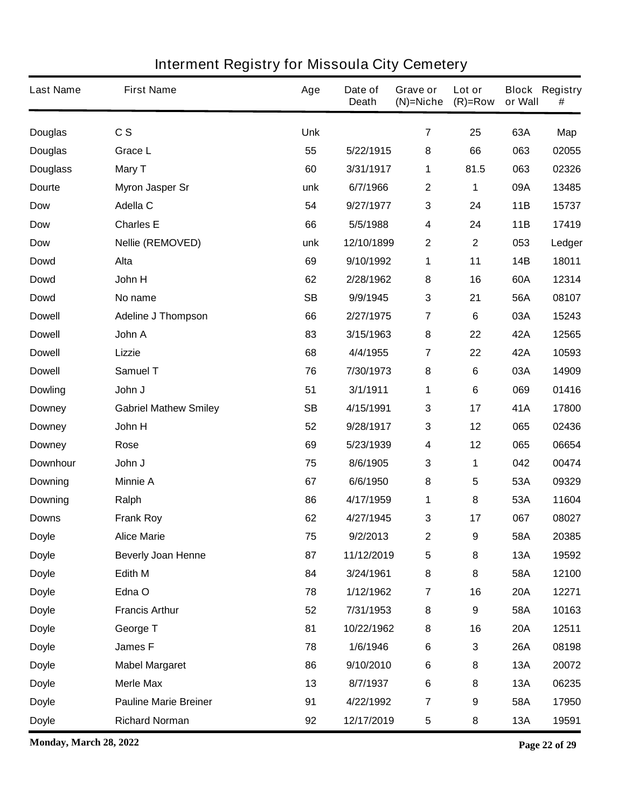| <b>Last Name</b> | <b>First Name</b>            | Age        | Date of<br><b>Death</b> | <b>Grave or</b><br>$(N)$ =Niche | Lot or<br>$(R)=Row$ | or Wall    | <b>Block Registry</b><br># |
|------------------|------------------------------|------------|-------------------------|---------------------------------|---------------------|------------|----------------------------|
| <b>Douglas</b>   | c s                          | <b>Unk</b> |                         | $\overline{7}$                  | 25                  | 63A        | Map                        |
| <b>Douglas</b>   | <b>Grace L</b>               | 55         | 5/22/1915               | 8                               | 66                  | 063        | 02055                      |
| <b>Douglass</b>  | Mary T                       | 60         | 3/31/1917               | 1                               | 81.5                | 063        | 02326                      |
| Dourte           | <b>Myron Jasper Sr</b>       | unk        | 6/7/1966                | $\mathbf 2$                     | 1                   | 09A        | 13485                      |
| <b>Dow</b>       | Adella C                     | 54         | 9/27/1977               | $\mathbf 3$                     | 24                  | 11B        | 15737                      |
| <b>Dow</b>       | <b>Charles E</b>             | 66         | 5/5/1988                | 4                               | 24                  | 11B        | 17419                      |
| <b>Dow</b>       | <b>Nellie (REMOVED)</b>      | unk        | 12/10/1899              | $\mathbf 2$                     | $\mathbf 2$         | 053        | Ledger                     |
| <b>Dowd</b>      | Alta                         | 69         | 9/10/1992               | 1                               | 11                  | <b>14B</b> | 18011                      |
| <b>Dowd</b>      | John H                       | 62         | 2/28/1962               | 8                               | 16                  | 60A        | 12314                      |
| <b>Dowd</b>      | No name                      | <b>SB</b>  | 9/9/1945                | 3                               | 21                  | 56A        | 08107                      |
| <b>Dowell</b>    | Adeline J Thompson           | 66         | 2/27/1975               | $\overline{7}$                  | 6                   | 03A        | 15243                      |
| <b>Dowell</b>    | John A                       | 83         | 3/15/1963               | 8                               | 22                  | 42A        | 12565                      |
| <b>Dowell</b>    | Lizzie                       | 68         | 4/4/1955                | $\overline{7}$                  | 22                  | 42A        | 10593                      |
| <b>Dowell</b>    | Samuel T                     | 76         | 7/30/1973               | 8                               | 6                   | 03A        | 14909                      |
| <b>Dowling</b>   | John J                       | 51         | 3/1/1911                | 1                               | 6                   | 069        | 01416                      |
| <b>Downey</b>    | <b>Gabriel Mathew Smiley</b> | <b>SB</b>  | 4/15/1991               | 3                               | 17                  | 41A        | 17800                      |
| <b>Downey</b>    | John H                       | 52         | 9/28/1917               | 3                               | 12                  | 065        | 02436                      |
| <b>Downey</b>    | Rose                         | 69         | 5/23/1939               | 4                               | 12                  | 065        | 06654                      |
| Downhour         | John J                       | 75         | 8/6/1905                | 3                               | 1                   | 042        | 00474                      |
| <b>Downing</b>   | <b>Minnie A</b>              | 67         | 6/6/1950                | 8                               | 5                   | 53A        | 09329                      |
| <b>Downing</b>   | Ralph                        | 86         | 4/17/1959               | 1                               | 8                   | 53A        | 11604                      |
| <b>Downs</b>     | <b>Frank Roy</b>             | 62         | 4/27/1945               | 3                               | 17                  | 067        | 08027                      |
| <b>Doyle</b>     | <b>Alice Marie</b>           | 75         | 9/2/2013                | $\mathbf 2$                     | 9                   | 58A        | 20385                      |
| <b>Doyle</b>     | <b>Beverly Joan Henne</b>    | 87         | 11/12/2019              | $\overline{\mathbf{5}}$         | 8                   | 13A        | 19592                      |
| <b>Doyle</b>     | Edith M                      | 84         | 3/24/1961               | 8                               | 8                   | 58A        | 12100                      |
| <b>Doyle</b>     | Edna O                       | 78         | 1/12/1962               | $\overline{7}$                  | 16                  | <b>20A</b> | 12271                      |
| <b>Doyle</b>     | <b>Francis Arthur</b>        | 52         | 7/31/1953               | 8                               | 9                   | 58A        | 10163                      |
| <b>Doyle</b>     | George T                     | 81         | 10/22/1962              | 8                               | 16                  | <b>20A</b> | 12511                      |
| <b>Doyle</b>     | James F                      | 78         | 1/6/1946                | $\bf 6$                         | 3                   | <b>26A</b> | 08198                      |
| <b>Doyle</b>     | <b>Mabel Margaret</b>        | 86         | 9/10/2010               | $\bf 6$                         | 8                   | <b>13A</b> | 20072                      |
| <b>Doyle</b>     | <b>Merle Max</b>             | 13         | 8/7/1937                | $\bf 6$                         | 8                   | 13A        | 06235                      |
| <b>Doyle</b>     | <b>Pauline Marie Breiner</b> | 91         | 4/22/1992               | $\overline{7}$                  | 9                   | 58A        | 17950                      |
| <b>Doyle</b>     | <b>Richard Norman</b>        | 92         | 12/17/2019              | $\sqrt{5}$                      | 8                   | 13A        | 19591                      |

**Monday, March 28, 2022 Page 22 of 29**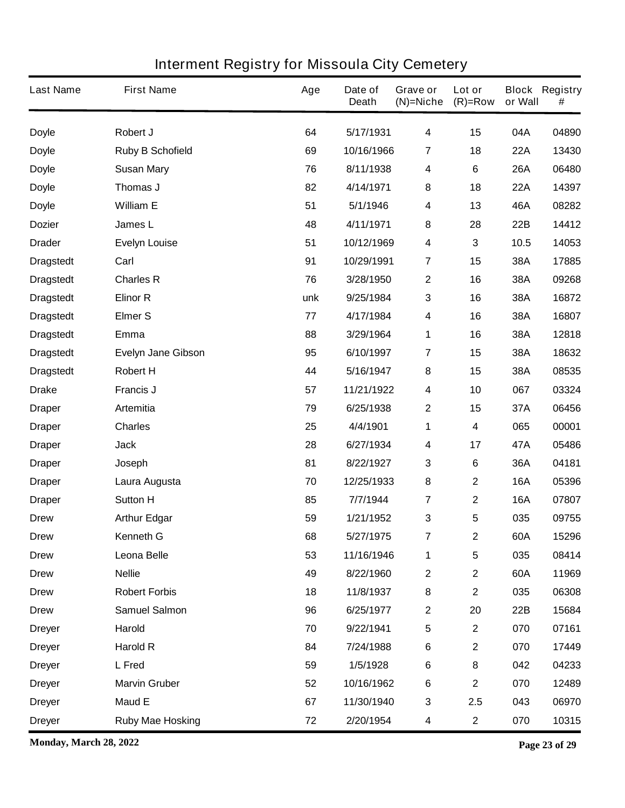| <b>Last Name</b> | <b>First Name</b>         | Age | Date of<br><b>Death</b> | Grave or<br>$(N)$ =Niche | Lot or<br>$(R)$ =Row | or Wall    | <b>Block Registry</b><br># |
|------------------|---------------------------|-----|-------------------------|--------------------------|----------------------|------------|----------------------------|
| <b>Doyle</b>     | Robert J                  | 64  | 5/17/1931               | $\overline{\mathbf{4}}$  | 15                   | 04A        | 04890                      |
| <b>Doyle</b>     | <b>Ruby B Schofield</b>   | 69  | 10/16/1966              | 7                        | 18                   | <b>22A</b> | 13430                      |
| <b>Doyle</b>     | <b>Susan Mary</b>         | 76  | 8/11/1938               | 4                        | 6                    | 26A        | 06480                      |
| <b>Doyle</b>     | Thomas J                  | 82  | 4/14/1971               | 8                        | 18                   | <b>22A</b> | 14397                      |
| <b>Doyle</b>     | <b>William E</b>          | 51  | 5/1/1946                | 4                        | 13                   | 46A        | 08282                      |
| <b>Dozier</b>    | James L                   | 48  | 4/11/1971               | 8                        | 28                   | 22B        | 14412                      |
| <b>Drader</b>    | <b>Evelyn Louise</b>      | 51  | 10/12/1969              | $\boldsymbol{4}$         | 3                    | 10.5       | 14053                      |
| <b>Dragstedt</b> | Carl                      | 91  | 10/29/1991              | $\overline{\mathbf{r}}$  | 15                   | 38A        | 17885                      |
| <b>Dragstedt</b> | <b>Charles R</b>          | 76  | 3/28/1950               | $\mathbf{2}$             | 16                   | 38A        | 09268                      |
| <b>Dragstedt</b> | <b>Elinor R</b>           | unk | 9/25/1984               | 3                        | 16                   | 38A        | 16872                      |
| <b>Dragstedt</b> | <b>Elmer S</b>            | 77  | 4/17/1984               | 4                        | 16                   | 38A        | 16807                      |
| <b>Dragstedt</b> | Emma                      | 88  | 3/29/1964               | 1                        | 16                   | 38A        | 12818                      |
| <b>Dragstedt</b> | <b>Evelyn Jane Gibson</b> | 95  | 6/10/1997               | 7                        | 15                   | 38A        | 18632                      |
| <b>Dragstedt</b> | <b>Robert H</b>           | 44  | 5/16/1947               | 8                        | 15                   | 38A        | 08535                      |
| <b>Drake</b>     | <b>Francis J</b>          | 57  | 11/21/1922              | $\boldsymbol{4}$         | 10                   | 067        | 03324                      |
| <b>Draper</b>    | <b>Artemitia</b>          | 79  | 6/25/1938               | 2                        | 15                   | 37A        | 06456                      |
| <b>Draper</b>    | <b>Charles</b>            | 25  | 4/4/1901                | 1                        | 4                    | 065        | 00001                      |
| <b>Draper</b>    | <b>Jack</b>               | 28  | 6/27/1934               | 4                        | 17                   | 47A        | 05486                      |
| <b>Draper</b>    | Joseph                    | 81  | 8/22/1927               | 3                        | 6                    | 36A        | 04181                      |
| <b>Draper</b>    | Laura Augusta             | 70  | 12/25/1933              | 8                        | 2                    | <b>16A</b> | 05396                      |
| <b>Draper</b>    | <b>Sutton H</b>           | 85  | 7/7/1944                | $\overline{7}$           | $\mathbf 2$          | <b>16A</b> | 07807                      |
| <b>Drew</b>      | <b>Arthur Edgar</b>       | 59  | 1/21/1952               | 3                        | 5                    | 035        | 09755                      |
| <b>Drew</b>      | <b>Kenneth G</b>          | 68  | 5/27/1975               | 7                        | 2                    | 60A        | 15296                      |
| <b>Drew</b>      | Leona Belle               | 53  | 11/16/1946              | 1                        | 5                    | 035        | 08414                      |
| <b>Drew</b>      | <b>Nellie</b>             | 49  | 8/22/1960               | $\boldsymbol{2}$         | $\mathbf 2$          | 60A        | 11969                      |
| <b>Drew</b>      | <b>Robert Forbis</b>      | 18  | 11/8/1937               | 8                        | $\mathbf 2$          | 035        | 06308                      |
| <b>Drew</b>      | <b>Samuel Salmon</b>      | 96  | 6/25/1977               | $\boldsymbol{2}$         | 20                   | 22B        | 15684                      |
| <b>Dreyer</b>    | Harold                    | 70  | 9/22/1941               | $\sqrt{5}$               | $\mathbf 2$          | 070        | 07161                      |
| <b>Dreyer</b>    | <b>Harold R</b>           | 84  | 7/24/1988               | $\bf 6$                  | $\mathbf 2$          | 070        | 17449                      |
| <b>Dreyer</b>    | L Fred                    | 59  | 1/5/1928                | $\bf 6$                  | 8                    | 042        | 04233                      |
| <b>Dreyer</b>    | <b>Marvin Gruber</b>      | 52  | 10/16/1962              | $\bf 6$                  | $\mathbf 2$          | 070        | 12489                      |
| <b>Dreyer</b>    | <b>Maud E</b>             | 67  | 11/30/1940              | $\mathbf 3$              | 2.5                  | 043        | 06970                      |
| <b>Dreyer</b>    | <b>Ruby Mae Hosking</b>   | 72  | 2/20/1954               | 4                        | $\mathbf 2$          | 070        | 10315                      |

**Monday, March 28, 2022 Page 23 of 29**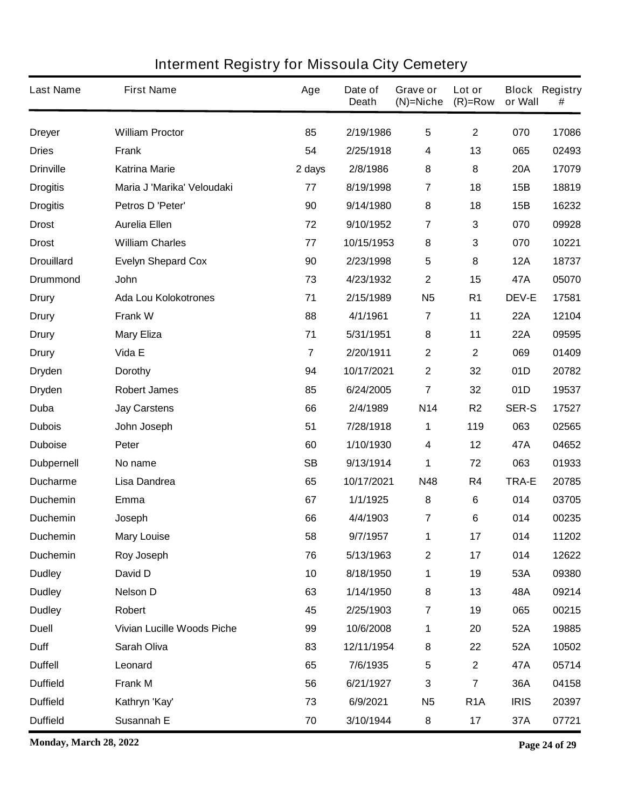| <b>Last Name</b>  | <b>First Name</b>                 | Age            | Date of<br><b>Death</b> | Grave or<br>$(N)$ =Niche | Lot or<br>$(R)=Row$     | or Wall      | <b>Block Registry</b><br># |
|-------------------|-----------------------------------|----------------|-------------------------|--------------------------|-------------------------|--------------|----------------------------|
| <b>Dreyer</b>     | <b>William Proctor</b>            | 85             | 2/19/1986               | $\overline{\mathbf{5}}$  | $\mathbf{2}$            | 070          | 17086                      |
| <b>Dries</b>      | Frank                             | 54             | 2/25/1918               | 4                        | 13                      | 065          | 02493                      |
| <b>Drinville</b>  | <b>Katrina Marie</b>              | 2 days         | 2/8/1986                | 8                        | 8                       | <b>20A</b>   | 17079                      |
| <b>Drogitis</b>   | Maria J 'Marika' Veloudaki        | 77             | 8/19/1998               | 7                        | 18                      | 15B          | 18819                      |
| <b>Drogitis</b>   | Petros D 'Peter'                  | 90             | 9/14/1980               | 8                        | 18                      | 15B          | 16232                      |
| <b>Drost</b>      | <b>Aurelia Ellen</b>              | 72             | 9/10/1952               | 7                        | 3                       | 070          | 09928                      |
| <b>Drost</b>      | <b>William Charles</b>            | 77             | 10/15/1953              | 8                        | 3                       | 070          | 10221                      |
| <b>Drouillard</b> | <b>Evelyn Shepard Cox</b>         | 90             | 2/23/1998               | 5                        | 8                       | <b>12A</b>   | 18737                      |
| <b>Drummond</b>   | John                              | 73             | 4/23/1932               | $\mathbf{2}$             | 15                      | 47A          | 05070                      |
| <b>Drury</b>      | <b>Ada Lou Kolokotrones</b>       | 71             | 2/15/1989               | <b>N5</b>                | R <sub>1</sub>          | <b>DEV-E</b> | 17581                      |
| Drury             | <b>Frank W</b>                    | 88             | 4/1/1961                | $\overline{7}$           | 11                      | <b>22A</b>   | 12104                      |
| <b>Drury</b>      | <b>Mary Eliza</b>                 | 71             | 5/31/1951               | 8                        | 11                      | <b>22A</b>   | 09595                      |
| Drury             | Vida E                            | $\overline{7}$ | 2/20/1911               | $\mathbf{2}$             | $\mathbf 2$             | 069          | 01409                      |
| <b>Dryden</b>     | <b>Dorothy</b>                    | 94             | 10/17/2021              | $\mathbf{2}$             | 32                      | 01D          | 20782                      |
| <b>Dryden</b>     | <b>Robert James</b>               | 85             | 6/24/2005               | $\overline{7}$           | 32                      | 01D          | 19537                      |
| Duba              | <b>Jay Carstens</b>               | 66             | 2/4/1989                | N14                      | R <sub>2</sub>          | <b>SER-S</b> | 17527                      |
| <b>Dubois</b>     | John Joseph                       | 51             | 7/28/1918               | 1                        | 119                     | 063          | 02565                      |
| <b>Duboise</b>    | Peter                             | 60             | 1/10/1930               | 4                        | 12                      | 47A          | 04652                      |
| <b>Dubpernell</b> | No name                           | <b>SB</b>      | 9/13/1914               | 1                        | 72                      | 063          | 01933                      |
| <b>Ducharme</b>   | Lisa Dandrea                      | 65             | 10/17/2021              | N48                      | R4                      | <b>TRA-E</b> | 20785                      |
| <b>Duchemin</b>   | Emma                              | 67             | 1/1/1925                | 8                        | 6                       | 014          | 03705                      |
| <b>Duchemin</b>   | Joseph                            | 66             | 4/4/1903                | 7                        | 6                       | 014          | 00235                      |
| <b>Duchemin</b>   | <b>Mary Louise</b>                | 58             | 9/7/1957                | 1                        | 17                      | 014          | 11202                      |
| <b>Duchemin</b>   | <b>Roy Joseph</b>                 | 76             | 5/13/1963               | $\mathbf 2$              | 17                      | 014          | 12622                      |
| <b>Dudley</b>     | David D                           | 10             | 8/18/1950               | 1                        | 19                      | 53A          | 09380                      |
| <b>Dudley</b>     | <b>Nelson D</b>                   | 63             | 1/14/1950               | 8                        | 13                      | 48A          | 09214                      |
| <b>Dudley</b>     | Robert                            | 45             | 2/25/1903               | $\overline{7}$           | 19                      | 065          | 00215                      |
| <b>Duell</b>      | <b>Vivian Lucille Woods Piche</b> | 99             | 10/6/2008               | $\mathbf 1$              | 20                      | 52A          | 19885                      |
| <b>Duff</b>       | <b>Sarah Oliva</b>                | 83             | 12/11/1954              | 8                        | 22                      | 52A          | 10502                      |
| <b>Duffell</b>    | Leonard                           | 65             | 7/6/1935                | $\sqrt{5}$               | $\mathbf{2}$            | 47A          | 05714                      |
| <b>Duffield</b>   | <b>Frank M</b>                    | 56             | 6/21/1927               | 3                        | $\overline{\mathbf{7}}$ | 36A          | 04158                      |
| <b>Duffield</b>   | Kathryn 'Kay'                     | 73             | 6/9/2021                | N <sub>5</sub>           | R <sub>1</sub> A        | <b>IRIS</b>  | 20397                      |
| <b>Duffield</b>   | Susannah E                        | 70             | 3/10/1944               | 8                        | 17                      | 37A          | 07721                      |

**Monday, March 28, 2022 Page 24 of 29**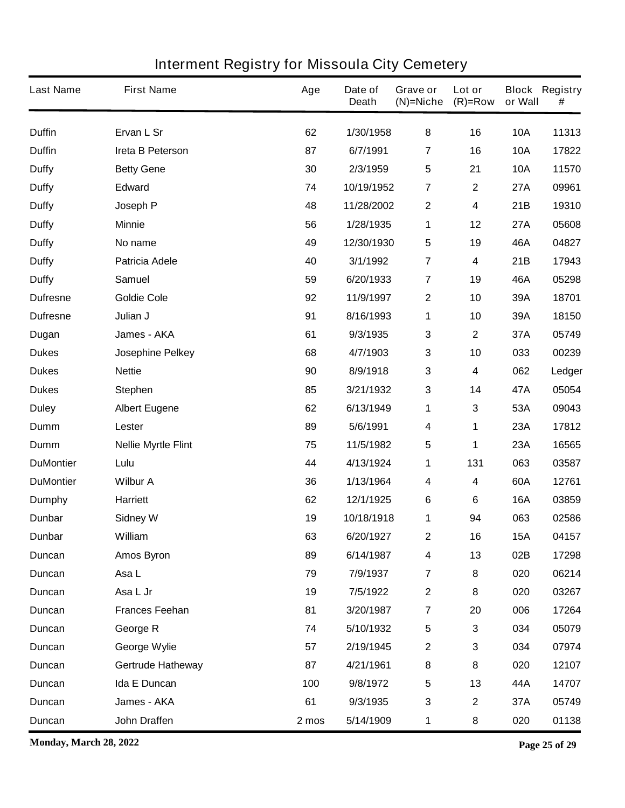| <b>Last Name</b> | <b>First Name</b>          | Age   | Date of<br><b>Death</b> | Grave or<br>$(N)$ =Niche | Lot or<br>$(R)=Row$ | or Wall    | <b>Block Registry</b><br># |
|------------------|----------------------------|-------|-------------------------|--------------------------|---------------------|------------|----------------------------|
| <b>Duffin</b>    | Ervan L Sr                 | 62    | 1/30/1958               | 8                        | 16                  | <b>10A</b> | 11313                      |
| <b>Duffin</b>    | Ireta B Peterson           | 87    | 6/7/1991                | $\overline{7}$           | 16                  | <b>10A</b> | 17822                      |
| <b>Duffy</b>     | <b>Betty Gene</b>          | 30    | 2/3/1959                | $\sqrt{5}$               | 21                  | <b>10A</b> | 11570                      |
| <b>Duffy</b>     | <b>Edward</b>              | 74    | 10/19/1952              | $\overline{7}$           | $\mathbf 2$         | <b>27A</b> | 09961                      |
| <b>Duffy</b>     | Joseph P                   | 48    | 11/28/2002              | $\mathbf{2}$             | 4                   | 21B        | 19310                      |
| <b>Duffy</b>     | <b>Minnie</b>              | 56    | 1/28/1935               | 1                        | 12                  | <b>27A</b> | 05608                      |
| <b>Duffy</b>     | No name                    | 49    | 12/30/1930              | $\sqrt{5}$               | 19                  | 46A        | 04827                      |
| <b>Duffy</b>     | <b>Patricia Adele</b>      | 40    | 3/1/1992                | $\overline{7}$           | 4                   | 21B        | 17943                      |
| <b>Duffy</b>     | <b>Samuel</b>              | 59    | 6/20/1933               | $\overline{7}$           | 19                  | 46A        | 05298                      |
| <b>Dufresne</b>  | <b>Goldie Cole</b>         | 92    | 11/9/1997               | $\boldsymbol{2}$         | 10                  | 39A        | 18701                      |
| <b>Dufresne</b>  | Julian J                   | 91    | 8/16/1993               | 1                        | 10                  | 39A        | 18150                      |
| Dugan            | James - AKA                | 61    | 9/3/1935                | 3                        | $\mathbf 2$         | 37A        | 05749                      |
| <b>Dukes</b>     | <b>Josephine Pelkey</b>    | 68    | 4/7/1903                | $\mathbf{3}$             | 10                  | 033        | 00239                      |
| <b>Dukes</b>     | <b>Nettie</b>              | 90    | 8/9/1918                | 3                        | 4                   | 062        | Ledger                     |
| <b>Dukes</b>     | <b>Stephen</b>             | 85    | 3/21/1932               | 3                        | 14                  | 47A        | 05054                      |
| <b>Duley</b>     | <b>Albert Eugene</b>       | 62    | 6/13/1949               | 1                        | 3                   | 53A        | 09043                      |
| Dumm             | Lester                     | 89    | 5/6/1991                | $\overline{\mathbf{4}}$  | 1                   | 23A        | 17812                      |
| Dumm             | <b>Nellie Myrtle Flint</b> | 75    | 11/5/1982               | $\sqrt{5}$               | 1                   | 23A        | 16565                      |
| <b>DuMontier</b> | Lulu                       | 44    | 4/13/1924               | 1                        | 131                 | 063        | 03587                      |
| <b>DuMontier</b> | <b>Wilbur A</b>            | 36    | 1/13/1964               | 4                        | 4                   | 60A        | 12761                      |
| <b>Dumphy</b>    | <b>Harriett</b>            | 62    | 12/1/1925               | 6                        | 6                   | <b>16A</b> | 03859                      |
| Dunbar           | <b>Sidney W</b>            | 19    | 10/18/1918              | 1                        | 94                  | 063        | 02586                      |
| Dunbar           | William                    | 63    | 6/20/1927               | $\boldsymbol{2}$         | 16                  | <b>15A</b> | 04157                      |
| Duncan           | <b>Amos Byron</b>          | 89    | 6/14/1987               | 4                        | 13                  | 02B        | 17298                      |
| Duncan           | Asa L                      | 79    | 7/9/1937                | $\overline{7}$           | 8                   | 020        | 06214                      |
| Duncan           | Asa L Jr                   | 19    | 7/5/1922                | $\mathbf 2$              | 8                   | 020        | 03267                      |
| Duncan           | <b>Frances Feehan</b>      | 81    | 3/20/1987               | $\overline{7}$           | 20                  | 006        | 17264                      |
| Duncan           | George R                   | 74    | 5/10/1932               | $\sqrt{5}$               | 3                   | 034        | 05079                      |
| <b>Duncan</b>    | George Wylie               | 57    | 2/19/1945               | $\mathbf 2$              | 3                   | 034        | 07974                      |
| Duncan           | <b>Gertrude Hatheway</b>   | 87    | 4/21/1961               | $\bf 8$                  | 8                   | 020        | 12107                      |
| Duncan           | Ida E Duncan               | 100   | 9/8/1972                | $\sqrt{5}$               | 13                  | 44A        | 14707                      |
| Duncan           | James - AKA                | 61    | 9/3/1935                | $\mathbf{3}$             | $\mathbf 2$         | 37A        | 05749                      |
| Duncan           | John Draffen               | 2 mos | 5/14/1909               | 1                        | 8                   | 020        | 01138                      |

**Monday, March 28, 2022 Page 25 of 29**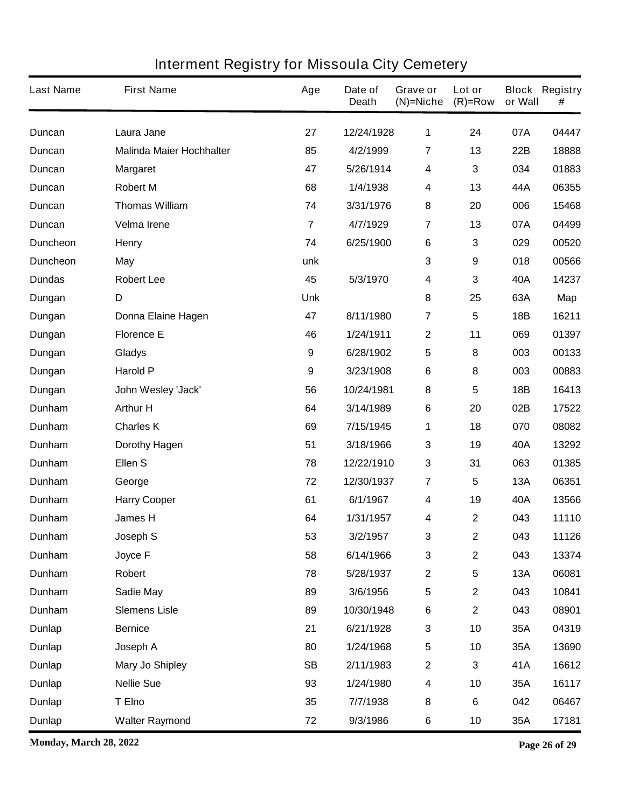| <b>Last Name</b> | <b>First Name</b>               | Age                     | Date of<br><b>Death</b> | Grave or<br>$(N)$ =Niche | Lot or<br>$(R)=Row$ | or Wall    | <b>Block Registry</b><br># |
|------------------|---------------------------------|-------------------------|-------------------------|--------------------------|---------------------|------------|----------------------------|
| <b>Duncan</b>    | Laura Jane                      | 27                      | 12/24/1928              | $\mathbf 1$              | 24                  | 07A        | 04447                      |
| Duncan           | <b>Malinda Maier Hochhalter</b> | 85                      | 4/2/1999                | $\overline{7}$           | 13                  | 22B        | 18888                      |
| Duncan           | <b>Margaret</b>                 | 47                      | 5/26/1914               | 4                        | 3                   | 034        | 01883                      |
| Duncan           | <b>Robert M</b>                 | 68                      | 1/4/1938                | 4                        | 13                  | 44A        | 06355                      |
| Duncan           | <b>Thomas William</b>           | 74                      | 3/31/1976               | 8                        | 20                  | 006        | 15468                      |
| Duncan           | Velma Irene                     | $\overline{\mathbf{r}}$ | 4/7/1929                | $\overline{7}$           | 13                  | 07A        | 04499                      |
| <b>Duncheon</b>  | <b>Henry</b>                    | 74                      | 6/25/1900               | $\bf 6$                  | 3                   | 029        | 00520                      |
| <b>Duncheon</b>  | May                             | unk                     |                         | $\mathbf{3}$             | 9                   | 018        | 00566                      |
| <b>Dundas</b>    | <b>Robert Lee</b>               | 45                      | 5/3/1970                | 4                        | 3                   | 40A        | 14237                      |
| Dungan           | D                               | <b>Unk</b>              |                         | 8                        | 25                  | 63A        | Map                        |
| Dungan           | Donna Elaine Hagen              | 47                      | 8/11/1980               | $\overline{7}$           | 5                   | 18B        | 16211                      |
| Dungan           | <b>Florence E</b>               | 46                      | 1/24/1911               | $\mathbf 2$              | 11                  | 069        | 01397                      |
| Dungan           | <b>Gladys</b>                   | $\boldsymbol{9}$        | 6/28/1902               | 5                        | 8                   | 003        | 00133                      |
| Dungan           | <b>Harold P</b>                 | 9                       | 3/23/1908               | $\bf 6$                  | 8                   | 003        | 00883                      |
| Dungan           | John Wesley 'Jack'              | 56                      | 10/24/1981              | 8                        | 5                   | 18B        | 16413                      |
| Dunham           | <b>Arthur H</b>                 | 64                      | 3/14/1989               | $\bf 6$                  | 20                  | 02B        | 17522                      |
| Dunham           | <b>Charles K</b>                | 69                      | 7/15/1945               | 1                        | 18                  | 070        | 08082                      |
| Dunham           | <b>Dorothy Hagen</b>            | 51                      | 3/18/1966               | 3                        | 19                  | 40A        | 13292                      |
| Dunham           | Ellen S                         | 78                      | 12/22/1910              | 3                        | 31                  | 063        | 01385                      |
| Dunham           | George                          | 72                      | 12/30/1937              | 7                        | 5                   | 13A        | 06351                      |
| Dunham           | <b>Harry Cooper</b>             | 61                      | 6/1/1967                | 4                        | 19                  | 40A        | 13566                      |
| Dunham           | <b>James H</b>                  | 64                      | 1/31/1957               | 4                        | 2                   | 043        | 11110                      |
| Dunham           | Joseph S                        | 53                      | 3/2/1957                | 3                        | 2                   | 043        | 11126                      |
| Dunham           | Joyce F                         | 58                      | 6/14/1966               | 3                        | $\mathbf{2}$        | 043        | 13374                      |
| Dunham           | Robert                          | 78                      | 5/28/1937               | $\mathbf 2$              | 5                   | <b>13A</b> | 06081                      |
| Dunham           | Sadie May                       | 89                      | 3/6/1956                | $\overline{\mathbf{5}}$  | $\mathbf 2$         | 043        | 10841                      |
| Dunham           | <b>Slemens Lisle</b>            | 89                      | 10/30/1948              | $\bf 6$                  | $\mathbf 2$         | 043        | 08901                      |
| <b>Dunlap</b>    | <b>Bernice</b>                  | 21                      | 6/21/1928               | $\mathbf{3}$             | 10                  | 35A        | 04319                      |
| <b>Dunlap</b>    | Joseph A                        | 80                      | 1/24/1968               | $\overline{\mathbf{5}}$  | 10                  | 35A        | 13690                      |
| <b>Dunlap</b>    | <b>Mary Jo Shipley</b>          | <b>SB</b>               | 2/11/1983               | $\mathbf 2$              | 3                   | 41A        | 16612                      |
| <b>Dunlap</b>    | <b>Nellie Sue</b>               | 93                      | 1/24/1980               | 4                        | 10                  | 35A        | 16117                      |
| <b>Dunlap</b>    | T Elno                          | 35                      | 7/7/1938                | 8                        | 6                   | 042        | 06467                      |
| <b>Dunlap</b>    | <b>Walter Raymond</b>           | 72                      | 9/3/1986                | 6                        | 10                  | 35A        | 17181                      |

**Monday, March 28, 2022 Page 26 of 29**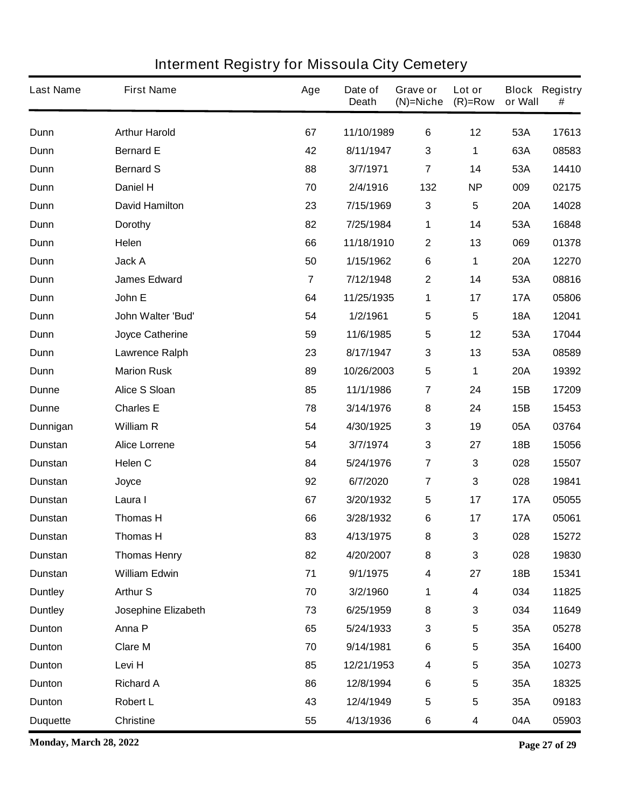| <b>Last Name</b> | <b>First Name</b>      | Age            | Date of<br><b>Death</b> | Grave or<br>$(N)$ =Niche | Lot or<br>$(R)=Row$ | or Wall    | <b>Block Registry</b><br># |
|------------------|------------------------|----------------|-------------------------|--------------------------|---------------------|------------|----------------------------|
| Dunn             | <b>Arthur Harold</b>   | 67             | 11/10/1989              | $\bf 6$                  | 12                  | 53A        | 17613                      |
| Dunn             | <b>Bernard E</b>       | 42             | 8/11/1947               | 3                        | 1                   | 63A        | 08583                      |
| Dunn             | <b>Bernard S</b>       | 88             | 3/7/1971                | $\overline{7}$           | 14                  | 53A        | 14410                      |
| Dunn             | Daniel H               | 70             | 2/4/1916                | 132                      | <b>NP</b>           | 009        | 02175                      |
| Dunn             | <b>David Hamilton</b>  | 23             | 7/15/1969               | $\mathbf{3}$             | 5                   | <b>20A</b> | 14028                      |
| Dunn             | <b>Dorothy</b>         | 82             | 7/25/1984               | 1                        | 14                  | 53A        | 16848                      |
| Dunn             | Helen                  | 66             | 11/18/1910              | $\mathbf 2$              | 13                  | 069        | 01378                      |
| Dunn             | Jack A                 | 50             | 1/15/1962               | 6                        | 1                   | <b>20A</b> | 12270                      |
| Dunn             | <b>James Edward</b>    | $\overline{7}$ | 7/12/1948               | $\mathbf 2$              | 14                  | 53A        | 08816                      |
| Dunn             | John E                 | 64             | 11/25/1935              | 1                        | 17                  | <b>17A</b> | 05806                      |
| Dunn             | John Walter 'Bud'      | 54             | 1/2/1961                | 5                        | 5                   | <b>18A</b> | 12041                      |
| Dunn             | <b>Joyce Catherine</b> | 59             | 11/6/1985               | 5                        | 12                  | 53A        | 17044                      |
| Dunn             | <b>Lawrence Ralph</b>  | 23             | 8/17/1947               | 3                        | 13                  | 53A        | 08589                      |
| Dunn             | <b>Marion Rusk</b>     | 89             | 10/26/2003              | $\overline{\mathbf{5}}$  | 1                   | <b>20A</b> | 19392                      |
| Dunne            | <b>Alice S Sloan</b>   | 85             | 11/1/1986               | 7                        | 24                  | 15B        | 17209                      |
| Dunne            | <b>Charles E</b>       | 78             | 3/14/1976               | 8                        | 24                  | 15B        | 15453                      |
| Dunnigan         | <b>William R</b>       | 54             | 4/30/1925               | 3                        | 19                  | 05A        | 03764                      |
| <b>Dunstan</b>   | <b>Alice Lorrene</b>   | 54             | 3/7/1974                | 3                        | 27                  | 18B        | 15056                      |
| Dunstan          | Helen C                | 84             | 5/24/1976               | $\overline{7}$           | 3                   | 028        | 15507                      |
| Dunstan          | Joyce                  | 92             | 6/7/2020                | $\overline{7}$           | 3                   | 028        | 19841                      |
| Dunstan          | Laura I                | 67             | 3/20/1932               | 5                        | 17                  | <b>17A</b> | 05055                      |
| <b>Dunstan</b>   | <b>Thomas H</b>        | 66             | 3/28/1932               | 6                        | 17                  | <b>17A</b> | 05061                      |
| <b>Dunstan</b>   | <b>Thomas H</b>        | 83             | 4/13/1975               | 8                        | 3                   | 028        | 15272                      |
| Dunstan          | <b>Thomas Henry</b>    | 82             | 4/20/2007               | 8                        | 3                   | 028        | 19830                      |
| <b>Dunstan</b>   | <b>William Edwin</b>   | 71             | 9/1/1975                | $\overline{\mathbf{4}}$  | 27                  | 18B        | 15341                      |
| <b>Duntley</b>   | <b>Arthur S</b>        | 70             | 3/2/1960                | 1                        | 4                   | 034        | 11825                      |
| <b>Duntley</b>   | Josephine Elizabeth    | 73             | 6/25/1959               | 8                        | 3                   | 034        | 11649                      |
| Dunton           | Anna P                 | 65             | 5/24/1933               | $\mathbf 3$              | 5                   | 35A        | 05278                      |
| Dunton           | <b>Clare M</b>         | 70             | 9/14/1981               | $\bf 6$                  | 5                   | 35A        | 16400                      |
| Dunton           | Levi H                 | 85             | 12/21/1953              | $\overline{\mathbf{4}}$  | 5                   | 35A        | 10273                      |
| Dunton           | <b>Richard A</b>       | 86             | 12/8/1994               | $\bf 6$                  | 5                   | 35A        | 18325                      |
| Dunton           | <b>Robert L</b>        | 43             | 12/4/1949               | $5\phantom{.0}$          | 5                   | 35A        | 09183                      |
| <b>Duquette</b>  | <b>Christine</b>       | 55             | 4/13/1936               | 6                        | 4                   | 04A        | 05903                      |

**Monday, March 28, 2022 Page 27 of 29**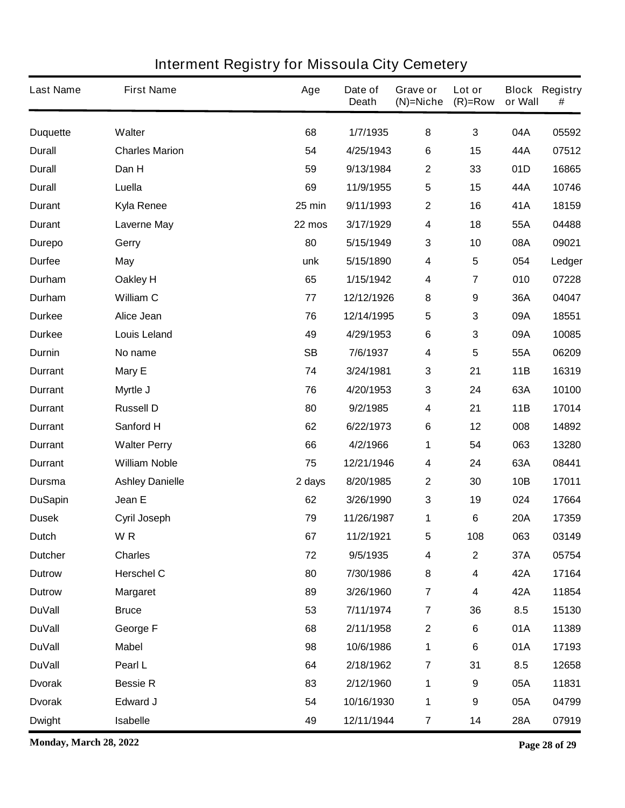| <b>Last Name</b> | <b>First Name</b>      | Age       | Date of<br><b>Death</b> | Grave or<br>$(N)$ =Niche | Lot or<br>$(R)=Row$     | or Wall    | <b>Block Registry</b><br># |
|------------------|------------------------|-----------|-------------------------|--------------------------|-------------------------|------------|----------------------------|
| <b>Duquette</b>  | <b>Walter</b>          | 68        | 1/7/1935                | 8                        | $\mathbf{3}$            | 04A        | 05592                      |
| <b>Durall</b>    | <b>Charles Marion</b>  | 54        | 4/25/1943               | 6                        | 15                      | 44A        | 07512                      |
| <b>Durall</b>    | Dan H                  | 59        | 9/13/1984               | $\mathbf{2}$             | 33                      | 01D        | 16865                      |
| <b>Durall</b>    | Luella                 | 69        | 11/9/1955               | $\sqrt{5}$               | 15                      | 44A        | 10746                      |
| <b>Durant</b>    | <b>Kyla Renee</b>      | 25 min    | 9/11/1993               | $\mathbf{2}$             | 16                      | 41A        | 18159                      |
| <b>Durant</b>    | <b>Laverne May</b>     | 22 mos    | 3/17/1929               | 4                        | 18                      | 55A        | 04488                      |
| <b>Durepo</b>    | Gerry                  | 80        | 5/15/1949               | $\mathbf{3}$             | 10                      | 08A        | 09021                      |
| <b>Durfee</b>    | <b>May</b>             | unk       | 5/15/1890               | 4                        | 5                       | 054        | Ledger                     |
| Durham           | Oakley H               | 65        | 1/15/1942               | 4                        | 7                       | 010        | 07228                      |
| Durham           | <b>William C</b>       | 77        | 12/12/1926              | 8                        | 9                       | 36A        | 04047                      |
| <b>Durkee</b>    | Alice Jean             | 76        | 12/14/1995              | $\sqrt{5}$               | 3                       | 09A        | 18551                      |
| <b>Durkee</b>    | <b>Louis Leland</b>    | 49        | 4/29/1953               | 6                        | 3                       | 09A        | 10085                      |
| Durnin           | No name                | <b>SB</b> | 7/6/1937                | $\overline{\mathbf{4}}$  | 5                       | 55A        | 06209                      |
| <b>Durrant</b>   | Mary E                 | 74        | 3/24/1981               | $\mathbf 3$              | 21                      | 11B        | 16319                      |
| <b>Durrant</b>   | Myrtle J               | 76        | 4/20/1953               | $\mathbf 3$              | 24                      | 63A        | 10100                      |
| <b>Durrant</b>   | <b>Russell D</b>       | 80        | 9/2/1985                | 4                        | 21                      | 11B        | 17014                      |
| <b>Durrant</b>   | Sanford H              | 62        | 6/22/1973               | 6                        | 12                      | 008        | 14892                      |
| <b>Durrant</b>   | <b>Walter Perry</b>    | 66        | 4/2/1966                | 1                        | 54                      | 063        | 13280                      |
| <b>Durrant</b>   | <b>William Noble</b>   | 75        | 12/21/1946              | 4                        | 24                      | 63A        | 08441                      |
| Dursma           | <b>Ashley Danielle</b> | 2 days    | 8/20/1985               | $\boldsymbol{2}$         | 30                      | 10B        | 17011                      |
| <b>DuSapin</b>   | Jean E                 | 62        | 3/26/1990               | $\mathbf{3}$             | 19                      | 024        | 17664                      |
| <b>Dusek</b>     | Cyril Joseph           | 79        | 11/26/1987              | 1                        | 6                       | <b>20A</b> | 17359                      |
| <b>Dutch</b>     | WR                     | 67        | 11/2/1921               | 5                        | 108                     | 063        | 03149                      |
| <b>Dutcher</b>   | <b>Charles</b>         | 72        | 9/5/1935                | 4                        | $\overline{\mathbf{2}}$ | 37A        | 05754                      |
| <b>Dutrow</b>    | <b>Herschel C</b>      | 80        | 7/30/1986               | 8                        | 4                       | 42A        | 17164                      |
| <b>Dutrow</b>    | <b>Margaret</b>        | 89        | 3/26/1960               | $\overline{7}$           | 4                       | 42A        | 11854                      |
| <b>DuVall</b>    | <b>Bruce</b>           | 53        | 7/11/1974               | $\overline{7}$           | 36                      | 8.5        | 15130                      |
| <b>DuVall</b>    | George F               | 68        | 2/11/1958               | $\boldsymbol{2}$         | 6                       | 01A        | 11389                      |
| <b>DuVall</b>    | <b>Mabel</b>           | 98        | 10/6/1986               | 1                        | 6                       | 01A        | 17193                      |
| <b>DuVall</b>    | Pearl L                | 64        | 2/18/1962               | $\overline{7}$           | 31                      | 8.5        | 12658                      |
| <b>Dvorak</b>    | <b>Bessie R</b>        | 83        | 2/12/1960               | 1                        | 9                       | 05A        | 11831                      |
| <b>Dvorak</b>    | <b>Edward J</b>        | 54        | 10/16/1930              | 1                        | 9                       | 05A        | 04799                      |
| <b>Dwight</b>    | <b>Isabelle</b>        | 49        | 12/11/1944              | $\overline{7}$           | 14                      | 28A        | 07919                      |

**Monday, March 28, 2022 Page 28 of 29**